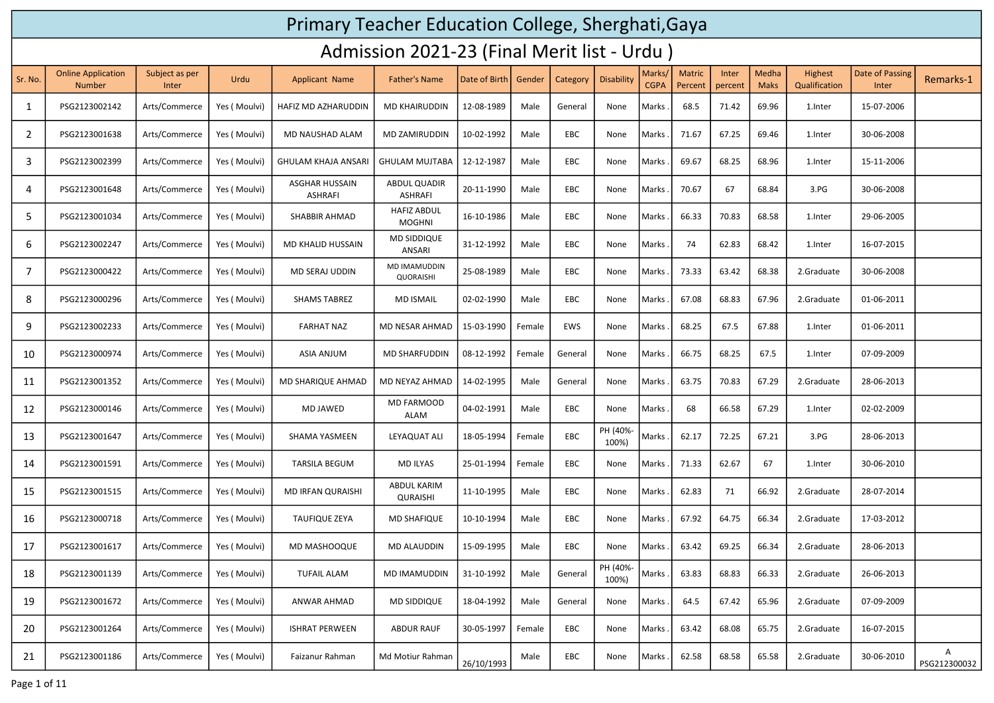## Primary Teacher Education College, Sherghati,Gaya

## Admission 2021-23 (Final Merit list - Urdu )

| Sr. No.        | <b>Online Application</b><br><b>Number</b> | Subject as per<br>Inter | Urdu         | <b>Applicant Name</b>                   | <b>Father's Name</b>                  | Date of Birth | Gender | Category | Disability        | Marks/<br><b>CGPA</b> | <b>Matric</b><br>Percent | Inter<br>percent | Medha<br><b>Maks</b> | Highest<br>Qualification | Date of Passing<br>Inter | Remarks-1         |
|----------------|--------------------------------------------|-------------------------|--------------|-----------------------------------------|---------------------------------------|---------------|--------|----------|-------------------|-----------------------|--------------------------|------------------|----------------------|--------------------------|--------------------------|-------------------|
| 1              | PSG2123002142                              | Arts/Commerce           | Yes (Moulvi) | HAFIZ MD AZHARUDDIN                     | <b>MD KHAIRUDDIN</b>                  | 12-08-1989    | Male   | General  | None              | Marks                 | 68.5                     | 71.42            | 69.96                | 1.Inter                  | 15-07-2006               |                   |
| 2              | PSG2123001638                              | Arts/Commerce           | Yes (Moulvi) | MD NAUSHAD ALAM                         | MD ZAMIRUDDIN                         | 10-02-1992    | Male   | EBC      | None              | Marks                 | 71.67                    | 67.25            | 69.46                | 1.Inter                  | 30-06-2008               |                   |
| 3              | PSG2123002399                              | Arts/Commerce           | Yes (Moulvi) | <b>GHULAM KHAJA ANSARI</b>              | <b>GHULAM MUJTABA</b>                 | 12-12-1987    | Male   | EBC      | None              | Marks                 | 69.67                    | 68.25            | 68.96                | 1.Inter                  | 15-11-2006               |                   |
| 4              | PSG2123001648                              | Arts/Commerce           | Yes (Moulvi) | <b>ASGHAR HUSSAIN</b><br><b>ASHRAFI</b> | <b>ABDUL QUADIR</b><br><b>ASHRAFI</b> | 20-11-1990    | Male   | EBC      | None              | Marks                 | 70.67                    | 67               | 68.84                | 3.PG                     | 30-06-2008               |                   |
| 5              | PSG2123001034                              | Arts/Commerce           | Yes (Moulvi) | <b>SHABBIR AHMAD</b>                    | <b>HAFIZ ABDUL</b><br><b>MOGHNI</b>   | 16-10-1986    | Male   | EBC      | None              | Marks.                | 66.33                    | 70.83            | 68.58                | 1. Inter                 | 29-06-2005               |                   |
| 6              | PSG2123002247                              | Arts/Commerce           | Yes (Moulvi) | <b>MD KHALID HUSSAIN</b>                | MD SIDDIQUE<br>ANSARI                 | 31-12-1992    | Male   | EBC      | None              | Marks                 | 74                       | 62.83            | 68.42                | 1.Inter                  | 16-07-2015               |                   |
| $\overline{7}$ | PSG2123000422                              | Arts/Commerce           | Yes (Moulvi) | MD SERAJ UDDIN                          | MD IMAMUDDIN<br>QUORAISHI             | 25-08-1989    | Male   | EBC      | None              | Marks                 | 73.33                    | 63.42            | 68.38                | 2.Graduate               | 30-06-2008               |                   |
| 8              | PSG2123000296                              | Arts/Commerce           | Yes (Moulvi) | <b>SHAMS TABREZ</b>                     | <b>MD ISMAIL</b>                      | 02-02-1990    | Male   | EBC      | None              | Marks                 | 67.08                    | 68.83            | 67.96                | 2.Graduate               | 01-06-2011               |                   |
| 9              | PSG2123002233                              | Arts/Commerce           | Yes (Moulvi) | <b>FARHAT NAZ</b>                       | MD NESAR AHMAD                        | 15-03-1990    | Female | EWS      | None              | Marks                 | 68.25                    | 67.5             | 67.88                | 1.Inter                  | 01-06-2011               |                   |
| 10             | PSG2123000974                              | Arts/Commerce           | Yes (Moulvi) | <b>ASIA ANJUM</b>                       | <b>MD SHARFUDDIN</b>                  | 08-12-1992    | Female | General  | None              | Marks                 | 66.75                    | 68.25            | 67.5                 | 1.Inter                  | 07-09-2009               |                   |
| 11             | PSG2123001352                              | Arts/Commerce           | Yes (Moulvi) | MD SHARIQUE AHMAD                       | MD NEYAZ AHMAD                        | 14-02-1995    | Male   | General  | None              | Marks                 | 63.75                    | 70.83            | 67.29                | 2.Graduate               | 28-06-2013               |                   |
| 12             | PSG2123000146                              | Arts/Commerce           | Yes (Moulvi) | MD JAWED                                | MD FARMOOD<br><b>ALAM</b>             | 04-02-1991    | Male   | EBC      | None              | Marks                 | 68                       | 66.58            | 67.29                | 1.Inter                  | 02-02-2009               |                   |
| 13             | PSG2123001647                              | Arts/Commerce           | Yes (Moulvi) | SHAMA YASMEEN                           | LEYAQUAT ALI                          | 18-05-1994    | Female | EBC      | PH (40%-<br>100%) | Marks .               | 62.17                    | 72.25            | 67.21                | 3.PG                     | 28-06-2013               |                   |
| 14             | PSG2123001591                              | Arts/Commerce           | Yes (Moulvi) | <b>TARSILA BEGUM</b>                    | <b>MD ILYAS</b>                       | 25-01-1994    | Female | EBC      | None              | Marks                 | 71.33                    | 62.67            | 67                   | 1.Inter                  | 30-06-2010               |                   |
| 15             | PSG2123001515                              | Arts/Commerce           | Yes (Moulvi) | MD IRFAN QURAISHI                       | <b>ABDUL KARIM</b><br>QURAISHI        | 11-10-1995    | Male   | EBC      | None              | Marks                 | 62.83                    | 71               | 66.92                | 2.Graduate               | 28-07-2014               |                   |
| 16             | PSG2123000718                              | Arts/Commerce           | Yes (Moulvi) | <b>TAUFIQUE ZEYA</b>                    | <b>MD SHAFIQUE</b>                    | 10-10-1994    | Male   | EBC      | None              | Marks                 | 67.92                    | 64.75            | 66.34                | 2.Graduate               | 17-03-2012               |                   |
| 17             | PSG2123001617                              | Arts/Commerce           | Yes (Moulvi) | MD MASHOOQUE                            | <b>MD ALAUDDIN</b>                    | 15-09-1995    | Male   | EBC      | None              | Marks                 | 63.42                    | 69.25            | 66.34                | 2.Graduate               | 28-06-2013               |                   |
| 18             | PSG2123001139                              | Arts/Commerce           | Yes (Moulvi) | <b>TUFAIL ALAM</b>                      | <b>MD IMAMUDDIN</b>                   | 31-10-1992    | Male   | General  | PH (40%<br>100%)  | Marks                 | 63.83                    | 68.83            | 66.33                | 2.Graduate               | 26-06-2013               |                   |
| 19             | PSG2123001672                              | Arts/Commerce           | Yes (Moulvi) | ANWAR AHMAD                             | MD SIDDIQUE                           | 18-04-1992    | Male   | General  | None              | Marks                 | 64.5                     | 67.42            | 65.96                | 2.Graduate               | 07-09-2009               |                   |
| 20             | PSG2123001264                              | Arts/Commerce           | Yes (Moulvi) | <b>ISHRAT PERWEEN</b>                   | <b>ABDUR RAUF</b>                     | 30-05-1997    | Female | EBC      | None              | Marks                 | 63.42                    | 68.08            | 65.75                | 2.Graduate               | 16-07-2015               |                   |
| 21             | PSG2123001186                              | Arts/Commerce           | Yes (Moulvi) | Faizanur Rahman                         | Md Motiur Rahman                      | 26/10/1993    | Male   | EBC      | None              | Marks.                | 62.58                    | 68.58            | 65.58                | 2.Graduate               | 30-06-2010               | Α<br>PSG212300032 |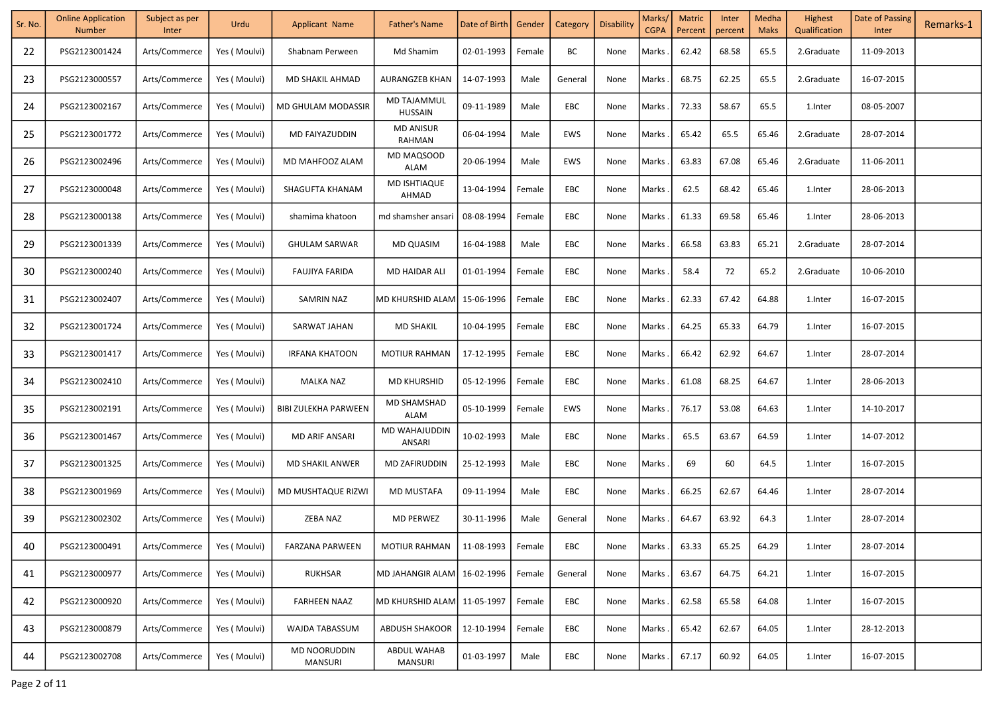| Sr. No. | <b>Online Application</b><br><b>Number</b> | Subject as per<br>Inter | Urdu          | Applicant Name                 | Father's Name                 | Date of Birth   Gender |        | Category   | Disability | Marks/<br><b>CGPA</b> | <b>Matric</b><br>Percent | Inter<br>percent | Medha<br><b>Maks</b> | Highest<br>Qualification | Date of Passing<br>Inter | Remarks-1 |
|---------|--------------------------------------------|-------------------------|---------------|--------------------------------|-------------------------------|------------------------|--------|------------|------------|-----------------------|--------------------------|------------------|----------------------|--------------------------|--------------------------|-----------|
| 22      | PSG2123001424                              | Arts/Commerce           | Yes (Moulvi)  | Shabnam Perween                | Md Shamim                     | 02-01-1993             | Female | ВC         | None       | Marks                 | 62.42                    | 68.58            | 65.5                 | 2.Graduate               | 11-09-2013               |           |
| 23      | PSG2123000557                              | Arts/Commerce           | Yes (Moulvi)  | <b>MD SHAKIL AHMAD</b>         | AURANGZEB KHAN                | 14-07-1993             | Male   | General    | None       | Marks.                | 68.75                    | 62.25            | 65.5                 | 2.Graduate               | 16-07-2015               |           |
| 24      | PSG2123002167                              | Arts/Commerce           | Yes (Moulvi)  | MD GHULAM MODASSIR             | MD TAJAMMUL<br><b>HUSSAIN</b> | 09-11-1989             | Male   | EBC        | None       | Marks                 | 72.33                    | 58.67            | 65.5                 | 1.Inter                  | 08-05-2007               |           |
| 25      | PSG2123001772                              | Arts/Commerce           | Yes (Moulvi)  | MD FAIYAZUDDIN                 | <b>MD ANISUR</b><br>RAHMAN    | 06-04-1994             | Male   | EWS        | None       | Marks                 | 65.42                    | 65.5             | 65.46                | 2.Graduate               | 28-07-2014               |           |
| 26      | PSG2123002496                              | Arts/Commerce           | Yes (Moulvi)  | MD MAHFOOZ ALAM                | MD MAQSOOD<br><b>ALAM</b>     | 20-06-1994             | Male   | EWS        | None       | Marks                 | 63.83                    | 67.08            | 65.46                | 2.Graduate               | 11-06-2011               |           |
| 27      | PSG2123000048                              | Arts/Commerce           | Yes ( Moulvi) | SHAGUFTA KHANAM                | MD ISHTIAQUE<br>AHMAD         | 13-04-1994             | Female | EBC        | None       | Marks                 | 62.5                     | 68.42            | 65.46                | 1. Inter                 | 28-06-2013               |           |
| 28      | PSG2123000138                              | Arts/Commerce           | Yes (Moulvi)  | shamima khatoon                | md shamsher ansari            | 08-08-1994             | Female | EBC        | None       | Marks                 | 61.33                    | 69.58            | 65.46                | 1.Inter                  | 28-06-2013               |           |
| 29      | PSG2123001339                              | Arts/Commerce           | Yes (Moulvi)  | <b>GHULAM SARWAR</b>           | MD QUASIM                     | 16-04-1988             | Male   | EBC        | None       | Marks                 | 66.58                    | 63.83            | 65.21                | 2.Graduate               | 28-07-2014               |           |
| 30      | PSG2123000240                              | Arts/Commerce           | Yes (Moulvi)  | <b>FAUJIYA FARIDA</b>          | MD HAIDAR ALI                 | 01-01-1994             | Female | EBC        | None       | Marks.                | 58.4                     | 72               | 65.2                 | 2.Graduate               | 10-06-2010               |           |
| 31      | PSG2123002407                              | Arts/Commerce           | Yes (Moulvi)  | SAMRIN NAZ                     | MD KHURSHID ALAM              | 15-06-1996             | Female | EBC        | None       | Marks.                | 62.33                    | 67.42            | 64.88                | 1. Inter                 | 16-07-2015               |           |
| 32      | PSG2123001724                              | Arts/Commerce           | Yes ( Moulvi) | SARWAT JAHAN                   | <b>MD SHAKIL</b>              | 10-04-1995             | Female | EBC        | None       | Marks                 | 64.25                    | 65.33            | 64.79                | 1.Inter                  | 16-07-2015               |           |
| 33      | PSG2123001417                              | Arts/Commerce           | Yes ( Moulvi) | <b>IRFANA KHATOON</b>          | <b>MOTIUR RAHMAN</b>          | 17-12-1995             | Female | EBC        | None       | Marks                 | 66.42                    | 62.92            | 64.67                | 1.Inter                  | 28-07-2014               |           |
| 34      | PSG2123002410                              | Arts/Commerce           | Yes ( Moulvi) | <b>MALKA NAZ</b>               | <b>MD KHURSHID</b>            | 05-12-1996             | Female | EBC        | None       | Marks                 | 61.08                    | 68.25            | 64.67                | 1.Inter                  | 28-06-2013               |           |
| 35      | PSG2123002191                              | Arts/Commerce           | Yes ( Moulvi) | <b>BIBI ZULEKHA PARWEEN</b>    | MD SHAMSHAD<br><b>ALAM</b>    | 05-10-1999             | Female | EWS        | None       | Marks.                | 76.17                    | 53.08            | 64.63                | 1. Inter                 | 14-10-2017               |           |
| 36      | PSG2123001467                              | Arts/Commerce           | Yes (Moulvi)  | MD ARIF ANSARI                 | MD WAHAJUDDIN<br>ANSARI       | 10-02-1993             | Male   | EBC        | None       | Marks.                | 65.5                     | 63.67            | 64.59                | 1. Inter                 | 14-07-2012               |           |
| 37      | PSG2123001325                              | Arts/Commerce           | Yes ( Moulvi) | <b>MD SHAKIL ANWER</b>         | MD ZAFIRUDDIN                 | 25-12-1993             | Male   | EBC        | None       | Marks.                | 69                       | 60               | 64.5                 | 1.Inter                  | 16-07-2015               |           |
| 38      | PSG2123001969                              | Arts/Commerce           | Yes (Moulvi)  | MD MUSHTAQUE RIZWI             | <b>MD MUSTAFA</b>             | 09-11-1994             | Male   | EBC        | None       | Marks.                | 66.25                    | 62.67            | 64.46                | 1.Inter                  | 28-07-2014               |           |
| 39      | PSG2123002302                              | Arts/Commerce           | Yes (Moulvi)  | ZEBA NAZ                       | <b>MD PERWEZ</b>              | 30-11-1996             | Male   | General    | None       | Marks.                | 64.67                    | 63.92            | 64.3                 | 1.Inter                  | 28-07-2014               |           |
| 40      | PSG2123000491                              | Arts/Commerce           | Yes (Moulvi)  | <b>FARZANA PARWEEN</b>         | <b>MOTIUR RAHMAN</b>          | 11-08-1993             | Female | EBC        | None       | Marks.                | 63.33                    | 65.25            | 64.29                | 1.Inter                  | 28-07-2014               |           |
| 41      | PSG2123000977                              | Arts/Commerce           | Yes (Moulvi)  | RUKHSAR                        | MD JAHANGIR ALAM              | 16-02-1996             | Female | General    | None       | Marks                 | 63.67                    | 64.75            | 64.21                | 1.Inter                  | 16-07-2015               |           |
| 42      | PSG2123000920                              | Arts/Commerce           | Yes (Moulvi)  | <b>FARHEEN NAAZ</b>            | MD KHURSHID ALAM              | 11-05-1997             | Female | EBC        | None       | Marks                 | 62.58                    | 65.58            | 64.08                | 1.Inter                  | 16-07-2015               |           |
| 43      | PSG2123000879                              | Arts/Commerce           | Yes (Moulvi)  | WAJDA TABASSUM                 | <b>ABDUSH SHAKOOR</b>         | 12-10-1994             | Female | <b>EBC</b> | None       | Marks                 | 65.42                    | 62.67            | 64.05                | 1.Inter                  | 28-12-2013               |           |
| 44      | PSG2123002708                              | Arts/Commerce           | Yes (Moulvi)  | <b>MD NOORUDDIN</b><br>MANSURI | <b>ABDUL WAHAB</b><br>MANSURI | 01-03-1997             | Male   | EBC        | None       | Marks.                | 67.17                    | 60.92            | 64.05                | 1.Inter                  | 16-07-2015               |           |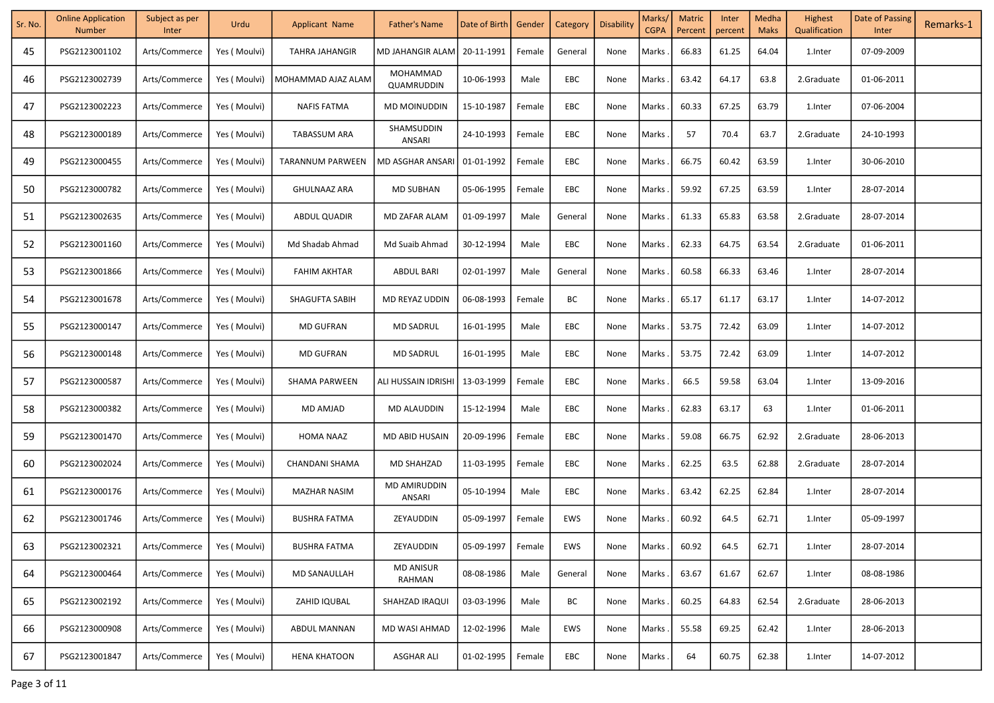| Sr. No. | <b>Online Application</b><br><b>Number</b> | Subject as per<br>Inter | Urdu          | <b>Applicant Name</b> | <b>Father's Name</b>       | Date of Birth   Gender |        | Category   | Disability | Marks/<br><b>CGPA</b> | <b>Matric</b><br>Percent | Inter<br>percent | Medha<br><b>Maks</b> | Highest<br>Qualification | Date of Passing<br>Inter | Remarks-1 |
|---------|--------------------------------------------|-------------------------|---------------|-----------------------|----------------------------|------------------------|--------|------------|------------|-----------------------|--------------------------|------------------|----------------------|--------------------------|--------------------------|-----------|
| 45      | PSG2123001102                              | Arts/Commerce           | Yes (Moulvi)  | <b>TAHRA JAHANGIR</b> | MD JAHANGIR ALAM           | 20-11-1991             | Female | General    | None       | Marks.                | 66.83                    | 61.25            | 64.04                | 1.Inter                  | 07-09-2009               |           |
| 46      | PSG2123002739                              | Arts/Commerce           | Yes ( Moulvi) | MOHAMMAD AJAZ ALAM    | MOHAMMAD<br>QUAMRUDDIN     | 10-06-1993             | Male   | EBC        | None       | Marks                 | 63.42                    | 64.17            | 63.8                 | 2.Graduate               | 01-06-2011               |           |
| 47      | PSG2123002223                              | Arts/Commerce           | Yes (Moulvi)  | <b>NAFIS FATMA</b>    | <b>MD MOINUDDIN</b>        | 15-10-1987             | Female | EBC        | None       | Marks                 | 60.33                    | 67.25            | 63.79                | 1.Inter                  | 07-06-2004               |           |
| 48      | PSG2123000189                              | Arts/Commerce           | Yes (Moulvi)  | <b>TABASSUM ARA</b>   | SHAMSUDDIN<br>ANSARI       | 24-10-1993             | Female | EBC        | None       | Marks                 | 57                       | 70.4             | 63.7                 | 2.Graduate               | 24-10-1993               |           |
| 49      | PSG2123000455                              | Arts/Commerce           | Yes (Moulvi)  | TARANNUM PARWEEN      | MD ASGHAR ANSARI           | 01-01-1992             | Female | EBC        | None       | Marks                 | 66.75                    | 60.42            | 63.59                | 1. Inter                 | 30-06-2010               |           |
| 50      | PSG2123000782                              | Arts/Commerce           | Yes (Moulvi)  | <b>GHULNAAZ ARA</b>   | <b>MD SUBHAN</b>           | 05-06-1995             | Female | EBC        | None       | Marks                 | 59.92                    | 67.25            | 63.59                | 1. Inter                 | 28-07-2014               |           |
| 51      | PSG2123002635                              | Arts/Commerce           | Yes (Moulvi)  | <b>ABDUL QUADIR</b>   | MD ZAFAR ALAM              | 01-09-1997             | Male   | General    | None       | Marks                 | 61.33                    | 65.83            | 63.58                | 2.Graduate               | 28-07-2014               |           |
| 52      | PSG2123001160                              | Arts/Commerce           | Yes (Moulvi)  | Md Shadab Ahmad       | Md Suaib Ahmad             | 30-12-1994             | Male   | EBC        | None       | Marks.                | 62.33                    | 64.75            | 63.54                | 2.Graduate               | 01-06-2011               |           |
| 53      | PSG2123001866                              | Arts/Commerce           | Yes (Moulvi)  | <b>FAHIM AKHTAR</b>   | ABDUL BARI                 | 02-01-1997             | Male   | General    | None       | Marks.                | 60.58                    | 66.33            | 63.46                | 1.Inter                  | 28-07-2014               |           |
| 54      | PSG2123001678                              | Arts/Commerce           | Yes ( Moulvi) | SHAGUFTA SABIH        | MD REYAZ UDDIN             | 06-08-1993             | Female | ВC         | None       | Marks                 | 65.17                    | 61.17            | 63.17                | 1.Inter                  | 14-07-2012               |           |
| 55      | PSG2123000147                              | Arts/Commerce           | Yes ( Moulvi) | <b>MD GUFRAN</b>      | <b>MD SADRUL</b>           | 16-01-1995             | Male   | EBC        | None       | Marks                 | 53.75                    | 72.42            | 63.09                | 1.Inter                  | 14-07-2012               |           |
| 56      | PSG2123000148                              | Arts/Commerce           | Yes ( Moulvi) | <b>MD GUFRAN</b>      | <b>MD SADRUL</b>           | 16-01-1995             | Male   | EBC        | None       | Marks                 | 53.75                    | 72.42            | 63.09                | 1.Inter                  | 14-07-2012               |           |
| 57      | PSG2123000587                              | Arts/Commerce           | Yes ( Moulvi) | SHAMA PARWEEN         | ALI HUSSAIN IDRISHI        | 13-03-1999             | Female | EBC        | None       | Marks                 | 66.5                     | 59.58            | 63.04                | 1.Inter                  | 13-09-2016               |           |
| 58      | PSG2123000382                              | Arts/Commerce           | Yes ( Moulvi) | <b>MD AMJAD</b>       | MD ALAUDDIN                | 15-12-1994             | Male   | EBC        | None       | Marks.                | 62.83                    | 63.17            | 63                   | 1. Inter                 | 01-06-2011               |           |
| 59      | PSG2123001470                              | Arts/Commerce           | Yes ( Moulvi) | HOMA NAAZ             | MD ABID HUSAIN             | 20-09-1996             | Female | <b>EBC</b> | None       | Marks.                | 59.08                    | 66.75            | 62.92                | 2.Graduate               | 28-06-2013               |           |
| 60      | PSG2123002024                              | Arts/Commerce           | Yes ( Moulvi) | CHANDANI SHAMA        | MD SHAHZAD                 | 11-03-1995             | Female | EBC        | None       | Marks.                | 62.25                    | 63.5             | 62.88                | 2.Graduate               | 28-07-2014               |           |
| 61      | PSG2123000176                              | Arts/Commerce           | Yes (Moulvi)  | <b>MAZHAR NASIM</b>   | MD AMIRUDDIN<br>ANSARI     | 05-10-1994             | Male   | EBC        | None       | Marks.                | 63.42                    | 62.25            | 62.84                | 1.Inter                  | 28-07-2014               |           |
| 62      | PSG2123001746                              | Arts/Commerce           | Yes (Moulvi)  | <b>BUSHRA FATMA</b>   | ZEYAUDDIN                  | 05-09-1997             | Female | EWS        | None       | <b>Marks</b>          | 60.92                    | 64.5             | 62.71                | 1.Inter                  | 05-09-1997               |           |
| 63      | PSG2123002321                              | Arts/Commerce           | Yes (Moulvi)  | <b>BUSHRA FATMA</b>   | ZEYAUDDIN                  | 05-09-1997             | Female | EWS        | None       | Marks.                | 60.92                    | 64.5             | 62.71                | 1.Inter                  | 28-07-2014               |           |
| 64      | PSG2123000464                              | Arts/Commerce           | Yes (Moulvi)  | <b>MD SANAULLAH</b>   | <b>MD ANISUR</b><br>RAHMAN | 08-08-1986             | Male   | General    | None       | Marks.                | 63.67                    | 61.67            | 62.67                | 1.Inter                  | 08-08-1986               |           |
| 65      | PSG2123002192                              | Arts/Commerce           | Yes (Moulvi)  | ZAHID IQUBAL          | SHAHZAD IRAQUI             | 03-03-1996             | Male   | ВC         | None       | Marks                 | 60.25                    | 64.83            | 62.54                | 2.Graduate               | 28-06-2013               |           |
| 66      | PSG2123000908                              | Arts/Commerce           | Yes ( Moulvi) | <b>ABDUL MANNAN</b>   | <b>MD WASI AHMAD</b>       | 12-02-1996             | Male   | EWS        | None       | Marks                 | 55.58                    | 69.25            | 62.42                | 1. Inter                 | 28-06-2013               |           |
| 67      | PSG2123001847                              | Arts/Commerce           | Yes (Moulvi)  | <b>HENA KHATOON</b>   | <b>ASGHAR ALI</b>          | 01-02-1995             | Female | EBC        | None       | Marks                 | 64                       | 60.75            | 62.38                | 1.Inter                  | 14-07-2012               |           |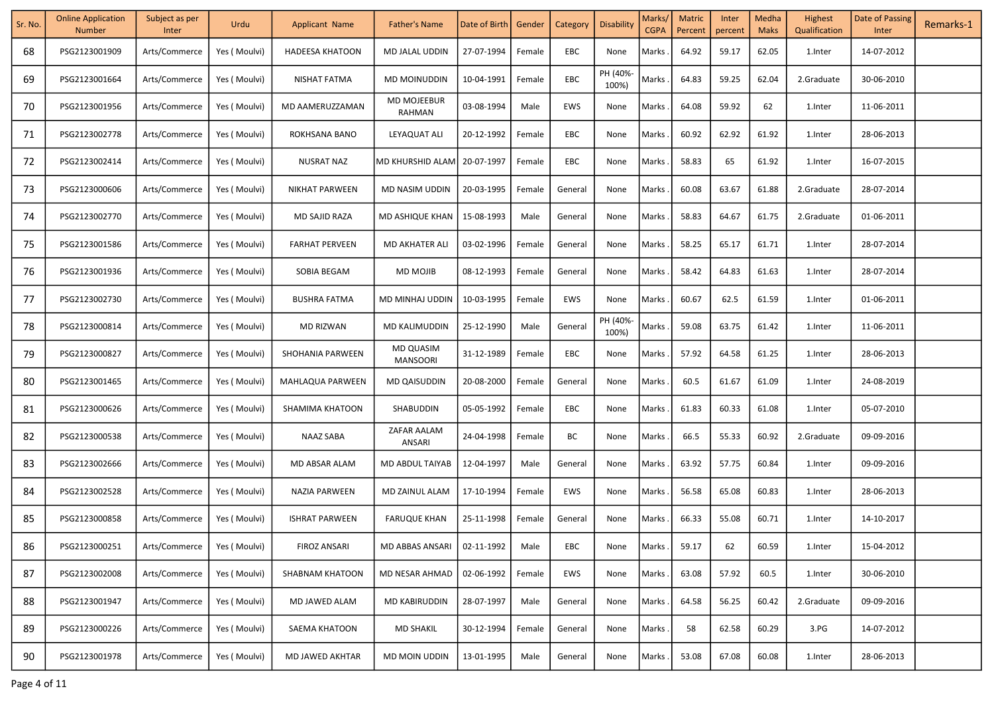| Sr. No. | <b>Online Application</b><br><b>Number</b> | Subject as per<br>Inter | Urdu          | <b>Applicant Name</b>  | <b>Father's Name</b>                | Date of Birth | Gender | Category | <b>Disability</b> | Marks/<br><b>CGPA</b> | <b>Matric</b><br>Percent | Inter<br>percent | Medha<br><b>Maks</b> | Highest<br>Qualification | Date of Passing<br>Inter | Remarks-1 |
|---------|--------------------------------------------|-------------------------|---------------|------------------------|-------------------------------------|---------------|--------|----------|-------------------|-----------------------|--------------------------|------------------|----------------------|--------------------------|--------------------------|-----------|
| 68      | PSG2123001909                              | Arts/Commerce           | Yes (Moulvi)  | <b>HADEESA KHATOON</b> | MD JALAL UDDIN                      | 27-07-1994    | Female | EBC      | None              | Marks                 | 64.92                    | 59.17            | 62.05                | 1.Inter                  | 14-07-2012               |           |
| 69      | PSG2123001664                              | Arts/Commerce           | Yes ( Moulvi) | NISHAT FATMA           | MD MOINUDDIN                        | 10-04-1991    | Female | EBC      | PH (40%-<br>100%) | Marks .               | 64.83                    | 59.25            | 62.04                | 2.Graduate               | 30-06-2010               |           |
| 70      | PSG2123001956                              | Arts/Commerce           | Yes (Moulvi)  | MD AAMERUZZAMAN        | <b>MD MOJEEBUR</b><br>RAHMAN        | 03-08-1994    | Male   | EWS      | None              | Marks                 | 64.08                    | 59.92            | 62                   | 1.Inter                  | 11-06-2011               |           |
| 71      | PSG2123002778                              | Arts/Commerce           | Yes (Moulvi)  | ROKHSANA BANO          | LEYAQUAT ALI                        | 20-12-1992    | Female | EBC      | None              | Marks                 | 60.92                    | 62.92            | 61.92                | 1.Inter                  | 28-06-2013               |           |
| 72      | PSG2123002414                              | Arts/Commerce           | Yes ( Moulvi) | NUSRAT NAZ             | MD KHURSHID ALAM                    | 20-07-1997    | Female | EBC      | None              | Marks                 | 58.83                    | 65               | 61.92                | 1.Inter                  | 16-07-2015               |           |
| 73      | PSG2123000606                              | Arts/Commerce           | Yes (Moulvi)  | NIKHAT PARWEEN         | MD NASIM UDDIN                      | 20-03-1995    | Female | General  | None              | Marks                 | 60.08                    | 63.67            | 61.88                | 2.Graduate               | 28-07-2014               |           |
| 74      | PSG2123002770                              | Arts/Commerce           | Yes ( Moulvi) | MD SAJID RAZA          | MD ASHIQUE KHAN                     | 15-08-1993    | Male   | General  | None              | Marks                 | 58.83                    | 64.67            | 61.75                | 2.Graduate               | 01-06-2011               |           |
| 75      | PSG2123001586                              | Arts/Commerce           | Yes (Moulvi)  | <b>FARHAT PERVEEN</b>  | MD AKHATER ALI                      | 03-02-1996    | Female | General  | None              | Marks                 | 58.25                    | 65.17            | 61.71                | 1.Inter                  | 28-07-2014               |           |
| 76      | PSG2123001936                              | Arts/Commerce           | Yes (Moulvi)  | SOBIA BEGAM            | MD MOJIB                            | 08-12-1993    | Female | General  | None              | Marks                 | 58.42                    | 64.83            | 61.63                | 1.Inter                  | 28-07-2014               |           |
| 77      | PSG2123002730                              | Arts/Commerce           | Yes ( Moulvi) | <b>BUSHRA FATMA</b>    | MD MINHAJ UDDIN                     | 10-03-1995    | Female | EWS      | None              | Marks                 | 60.67                    | 62.5             | 61.59                | 1.Inter                  | 01-06-2011               |           |
| 78      | PSG2123000814                              | Arts/Commerce           | Yes ( Moulvi) | <b>MD RIZWAN</b>       | MD KALIMUDDIN                       | 25-12-1990    | Male   | General  | PH (40%-<br>100%) | Marks                 | 59.08                    | 63.75            | 61.42                | 1.Inter                  | 11-06-2011               |           |
| 79      | PSG2123000827                              | Arts/Commerce           | Yes (Moulvi)  | SHOHANIA PARWEEN       | <b>MD QUASIM</b><br><b>MANSOORI</b> | 31-12-1989    | Female | EBC      | None              | Marks                 | 57.92                    | 64.58            | 61.25                | 1.Inter                  | 28-06-2013               |           |
| 80      | PSG2123001465                              | Arts/Commerce           | Yes (Moulvi)  | MAHLAQUA PARWEEN       | <b>MD QAISUDDIN</b>                 | 20-08-2000    | Female | General  | None              | Marks                 | 60.5                     | 61.67            | 61.09                | 1.Inter                  | 24-08-2019               |           |
| 81      | PSG2123000626                              | Arts/Commerce           | Yes (Moulvi)  | SHAMIMA KHATOON        | SHABUDDIN                           | 05-05-1992    | Female | EBC      | None              | Marks                 | 61.83                    | 60.33            | 61.08                | 1. Inter                 | 05-07-2010               |           |
| 82      | PSG2123000538                              | Arts/Commerce           | Yes ( Moulvi) | NAAZ SABA              | ZAFAR AALAM<br>ANSARI               | 24-04-1998    | Female | BC       | None              | Marks                 | 66.5                     | 55.33            | 60.92                | 2.Graduate               | 09-09-2016               |           |
| 83      | PSG2123002666                              | Arts/Commerce           | Yes ( Moulvi) | MD ABSAR ALAM          | MD ABDUL TAIYAB                     | 12-04-1997    | Male   | General  | None              | Marks.                | 63.92                    | 57.75            | 60.84                | 1.Inter                  | 09-09-2016               |           |
| 84      | PSG2123002528                              | Arts/Commerce           | Yes (Moulvi)  | NAZIA PARWEEN          | MD ZAINUL ALAM                      | 17-10-1994    | Female | EWS      | None              | Marks .               | 56.58                    | 65.08            | 60.83                | 1.Inter                  | 28-06-2013               |           |
| 85      | PSG2123000858                              | Arts/Commerce           | Yes ( Moulvi) | <b>ISHRAT PARWEEN</b>  | <b>FARUQUE KHAN</b>                 | 25-11-1998    | Female | General  | None              | Marks                 | 66.33                    | 55.08            | 60.71                | 1.Inter                  | 14-10-2017               |           |
| 86      | PSG2123000251                              | Arts/Commerce           | Yes ( Moulvi) | <b>FIROZ ANSARI</b>    | <b>MD ABBAS ANSARI</b>              | 02-11-1992    | Male   | EBC      | None              | Marks .               | 59.17                    | 62               | 60.59                | 1.Inter                  | 15-04-2012               |           |
| 87      | PSG2123002008                              | Arts/Commerce           | Yes (Moulvi)  | <b>SHABNAM KHATOON</b> | MD NESAR AHMAD                      | 02-06-1992    | Female | EWS      | None              | Marks                 | 63.08                    | 57.92            | 60.5                 | 1.Inter                  | 30-06-2010               |           |
| 88      | PSG2123001947                              | Arts/Commerce           | Yes (Moulvi)  | MD JAWED ALAM          | <b>MD KABIRUDDIN</b>                | 28-07-1997    | Male   | General  | None              | Marks                 | 64.58                    | 56.25            | 60.42                | 2.Graduate               | 09-09-2016               |           |
| 89      | PSG2123000226                              | Arts/Commerce           | Yes (Moulvi)  | SAEMA KHATOON          | <b>MD SHAKIL</b>                    | 30-12-1994    | Female | General  | None              | Marks                 | 58                       | 62.58            | 60.29                | 3.PG                     | 14-07-2012               |           |
| 90      | PSG2123001978                              | Arts/Commerce           | Yes (Moulvi)  | <b>MD JAWED AKHTAR</b> | MD MOIN UDDIN                       | 13-01-1995    | Male   | General  | None              | Marks .               | 53.08                    | 67.08            | 60.08                | 1.Inter                  | 28-06-2013               |           |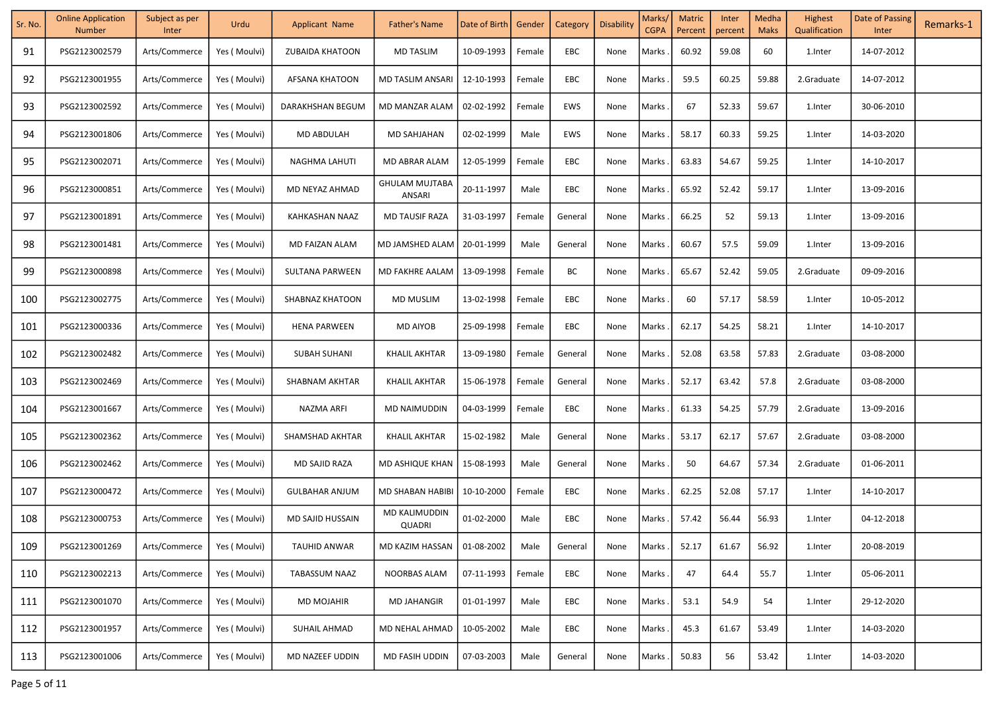| Sr. No. | <b>Online Application</b><br><b>Number</b> | Subject as per<br>Inter | Urdu          | <b>Applicant Name</b>  | <b>Father's Name</b>            | Date of Birth   Gender |        | Category   | Disability | Marks/<br><b>CGPA</b> | <b>Matric</b><br>Percent | Inter<br>percent | Medha<br><b>Maks</b> | Highest<br>Qualification | Date of Passing<br>Inter | Remarks-1 |
|---------|--------------------------------------------|-------------------------|---------------|------------------------|---------------------------------|------------------------|--------|------------|------------|-----------------------|--------------------------|------------------|----------------------|--------------------------|--------------------------|-----------|
| 91      | PSG2123002579                              | Arts/Commerce           | Yes (Moulvi)  | <b>ZUBAIDA KHATOON</b> | <b>MD TASLIM</b>                | 10-09-1993             | Female | EBC        | None       | Marks                 | 60.92                    | 59.08            | 60                   | 1.Inter                  | 14-07-2012               |           |
| 92      | PSG2123001955                              | Arts/Commerce           | Yes ( Moulvi) | AFSANA KHATOON         | MD TASLIM ANSARI                | 12-10-1993             | Female | EBC        | None       | Marks                 | 59.5                     | 60.25            | 59.88                | 2.Graduate               | 14-07-2012               |           |
| 93      | PSG2123002592                              | Arts/Commerce           | Yes (Moulvi)  | DARAKHSHAN BEGUM       | MD MANZAR ALAM                  | 02-02-1992             | Female | EWS        | None       | Marks                 | 67                       | 52.33            | 59.67                | 1.Inter                  | 30-06-2010               |           |
| 94      | PSG2123001806                              | Arts/Commerce           | Yes (Moulvi)  | MD ABDULAH             | MD SAHJAHAN                     | 02-02-1999             | Male   | EWS        | None       | Marks                 | 58.17                    | 60.33            | 59.25                | 1.Inter                  | 14-03-2020               |           |
| 95      | PSG2123002071                              | Arts/Commerce           | Yes ( Moulvi) | NAGHMA LAHUTI          | MD ABRAR ALAM                   | 12-05-1999             | Female | EBC        | None       | Marks                 | 63.83                    | 54.67            | 59.25                | 1. Inter                 | 14-10-2017               |           |
| 96      | PSG2123000851                              | Arts/Commerce           | Yes (Moulvi)  | MD NEYAZ AHMAD         | <b>GHULAM MUJTABA</b><br>ANSARI | 20-11-1997             | Male   | EBC        | None       | Marks                 | 65.92                    | 52.42            | 59.17                | 1. Inter                 | 13-09-2016               |           |
| 97      | PSG2123001891                              | Arts/Commerce           | Yes (Moulvi)  | KAHKASHAN NAAZ         | MD TAUSIF RAZA                  | 31-03-1997             | Female | General    | None       | Marks                 | 66.25                    | 52               | 59.13                | 1. Inter                 | 13-09-2016               |           |
| 98      | PSG2123001481                              | Arts/Commerce           | Yes (Moulvi)  | MD FAIZAN ALAM         | MD JAMSHED ALAM                 | 20-01-1999             | Male   | General    | None       | Marks.                | 60.67                    | 57.5             | 59.09                | 1.Inter                  | 13-09-2016               |           |
| 99      | PSG2123000898                              | Arts/Commerce           | Yes (Moulvi)  | SULTANA PARWEEN        | MD FAKHRE AALAM                 | 13-09-1998             | Female | ВC         | None       | Marks                 | 65.67                    | 52.42            | 59.05                | 2.Graduate               | 09-09-2016               |           |
| 100     | PSG2123002775                              | Arts/Commerce           | Yes ( Moulvi) | SHABNAZ KHATOON        | MD MUSLIM                       | 13-02-1998             | Female | EBC        | None       | Marks                 | 60                       | 57.17            | 58.59                | 1.Inter                  | 10-05-2012               |           |
| 101     | PSG2123000336                              | Arts/Commerce           | Yes ( Moulvi) | <b>HENA PARWEEN</b>    | MD AIYOB                        | 25-09-1998             | Female | EBC        | None       | Marks                 | 62.17                    | 54.25            | 58.21                | 1.Inter                  | 14-10-2017               |           |
| 102     | PSG2123002482                              | Arts/Commerce           | Yes ( Moulvi) | SUBAH SUHANI           | <b>KHALIL AKHTAR</b>            | 13-09-1980             | Female | General    | None       | Marks                 | 52.08                    | 63.58            | 57.83                | 2.Graduate               | 03-08-2000               |           |
| 103     | PSG2123002469                              | Arts/Commerce           | Yes (Moulvi)  | SHABNAM AKHTAR         | KHALIL AKHTAR                   | 15-06-1978             | Female | General    | None       | Marks                 | 52.17                    | 63.42            | 57.8                 | 2.Graduate               | 03-08-2000               |           |
| 104     | PSG2123001667                              | Arts/Commerce           | Yes ( Moulvi) | NAZMA ARFI             | MD NAIMUDDIN                    | 04-03-1999             | Female | EBC        | None       | Marks.                | 61.33                    | 54.25            | 57.79                | 2.Graduate               | 13-09-2016               |           |
| 105     | PSG2123002362                              | Arts/Commerce           | Yes (Moulvi)  | SHAMSHAD AKHTAR        | <b>KHALIL AKHTAR</b>            | 15-02-1982             | Male   | General    | None       | Marks.                | 53.17                    | 62.17            | 57.67                | 2.Graduate               | 03-08-2000               |           |
| 106     | PSG2123002462                              | Arts/Commerce           | Yes ( Moulvi) | MD SAJID RAZA          | MD ASHIQUE KHAN                 | 15-08-1993             | Male   | General    | None       | Marks.                | 50                       | 64.67            | 57.34                | 2.Graduate               | 01-06-2011               |           |
| 107     | PSG2123000472                              | Arts/Commerce           | Yes (Moulvi)  | <b>GULBAHAR ANJUM</b>  | MD SHABAN HABIBI                | 10-10-2000             | Female | <b>EBC</b> | None       | Marks.                | 62.25                    | 52.08            | 57.17                | 1.Inter                  | 14-10-2017               |           |
| 108     | PSG2123000753                              | Arts/Commerce           | Yes (Moulvi)  | MD SAJID HUSSAIN       | MD KALIMUDDIN<br><b>QUADRI</b>  | 01-02-2000             | Male   | EBC        | None       | Marks.                | 57.42                    | 56.44            | 56.93                | 1.Inter                  | 04-12-2018               |           |
| 109     | PSG2123001269                              | Arts/Commerce           | Yes (Moulvi)  | TAUHID ANWAR           | MD KAZIM HASSAN                 | 01-08-2002             | Male   | General    | None       | Marks.                | 52.17                    | 61.67            | 56.92                | 1.Inter                  | 20-08-2019               |           |
| 110     | PSG2123002213                              | Arts/Commerce           | Yes (Moulvi)  | <b>TABASSUM NAAZ</b>   | NOORBAS ALAM                    | 07-11-1993             | Female | EBC        | None       | Marks                 | 47                       | 64.4             | 55.7                 | 1.Inter                  | 05-06-2011               |           |
| 111     | PSG2123001070                              | Arts/Commerce           | Yes (Moulvi)  | <b>MD MOJAHIR</b>      | <b>MD JAHANGIR</b>              | 01-01-1997             | Male   | EBC        | None       | Marks                 | 53.1                     | 54.9             | 54                   | 1.Inter                  | 29-12-2020               |           |
| 112     | PSG2123001957                              | Arts/Commerce           | Yes ( Moulvi) | SUHAIL AHMAD           | MD NEHAL AHMAD                  | 10-05-2002             | Male   | EBC        | None       | Marks.                | 45.3                     | 61.67            | 53.49                | 1.Inter                  | 14-03-2020               |           |
| 113     | PSG2123001006                              | Arts/Commerce           | Yes (Moulvi)  | MD NAZEEF UDDIN        | MD FASIH UDDIN                  | 07-03-2003             | Male   | General    | None       | Marks.                | 50.83                    | 56               | 53.42                | 1.Inter                  | 14-03-2020               |           |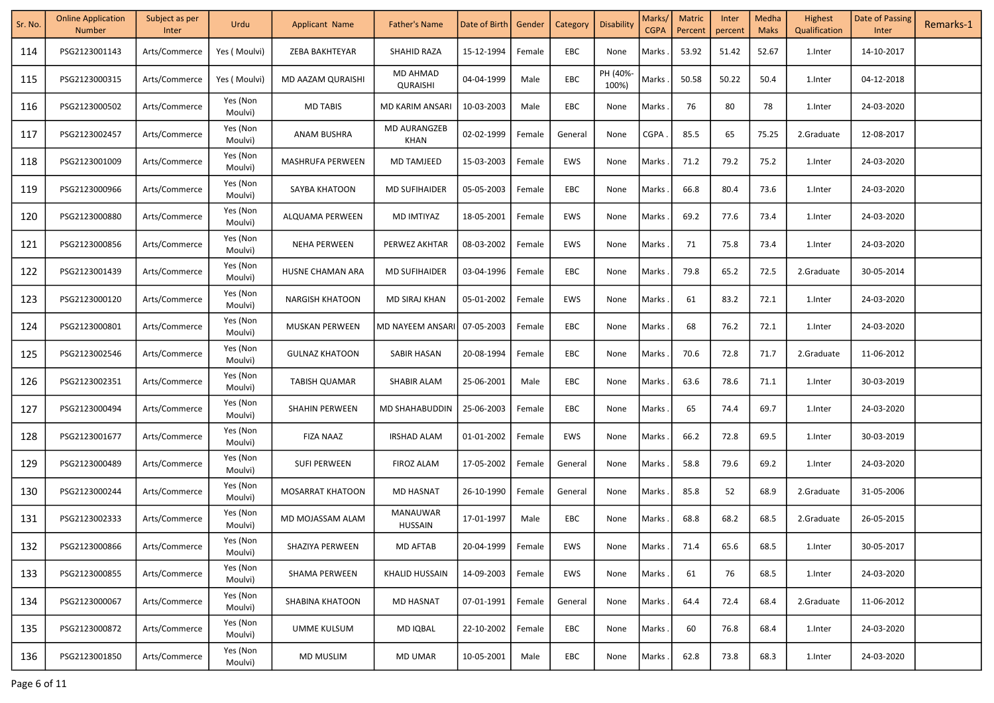| Sr. No. | <b>Online Application</b><br><b>Number</b> | Subject as per<br>Inter | Urdu                | <b>Applicant Name</b>  | <b>Father's Name</b>        | Date of Birth   Gender |        | Category | Disability        | Marks/<br><b>CGPA</b> | Matric<br>Percent | Inter<br>percent | Medha<br><b>Maks</b> | Highest<br>Qualification | Date of Passing<br>Inter | Remarks-1 |
|---------|--------------------------------------------|-------------------------|---------------------|------------------------|-----------------------------|------------------------|--------|----------|-------------------|-----------------------|-------------------|------------------|----------------------|--------------------------|--------------------------|-----------|
| 114     | PSG2123001143                              | Arts/Commerce           | Yes (Moulvi)        | ZEBA BAKHTEYAR         | <b>SHAHID RAZA</b>          | 15-12-1994             | Female | EBC      | None              | Marks                 | 53.92             | 51.42            | 52.67                | 1.Inter                  | 14-10-2017               |           |
| 115     | PSG2123000315                              | Arts/Commerce           | Yes (Moulvi)        | MD AAZAM QURAISHI      | MD AHMAD<br>QURAISHI        | 04-04-1999             | Male   | EBC      | PH (40%-<br>100%) | Marks                 | 50.58             | 50.22            | 50.4                 | 1.Inter                  | 04-12-2018               |           |
| 116     | PSG2123000502                              | Arts/Commerce           | Yes (Non<br>Moulvi) | <b>MD TABIS</b>        | MD KARIM ANSARI             | 10-03-2003             | Male   | EBC      | None              | Marks                 | 76                | 80               | 78                   | 1.Inter                  | 24-03-2020               |           |
| 117     | PSG2123002457                              | Arts/Commerce           | Yes (Non<br>Moulvi) | ANAM BUSHRA            | <b>MD AURANGZEB</b><br>KHAN | 02-02-1999             | Female | General  | None              | CGPA                  | 85.5              | 65               | 75.25                | 2.Graduate               | 12-08-2017               |           |
| 118     | PSG2123001009                              | Arts/Commerce           | Yes (Non<br>Moulvi) | MASHRUFA PERWEEN       | <b>MD TAMJEED</b>           | 15-03-2003             | Female | EWS      | None              | Marks                 | 71.2              | 79.2             | 75.2                 | 1.Inter                  | 24-03-2020               |           |
| 119     | PSG2123000966                              | Arts/Commerce           | Yes (Non<br>Moulvi) | SAYBA KHATOON          | <b>MD SUFIHAIDER</b>        | 05-05-2003             | Female | EBC      | None              | Marks                 | 66.8              | 80.4             | 73.6                 | 1.Inter                  | 24-03-2020               |           |
| 120     | PSG2123000880                              | Arts/Commerce           | Yes (Non<br>Moulvi) | ALQUAMA PERWEEN        | MD IMTIYAZ                  | 18-05-2001             | Female | EWS      | None              | Marks                 | 69.2              | 77.6             | 73.4                 | 1.Inter                  | 24-03-2020               |           |
| 121     | PSG2123000856                              | Arts/Commerce           | Yes (Non<br>Moulvi) | <b>NEHA PERWEEN</b>    | PERWEZ AKHTAR               | 08-03-2002             | Female | EWS      | None              | Marks                 | 71                | 75.8             | 73.4                 | 1.Inter                  | 24-03-2020               |           |
| 122     | PSG2123001439                              | Arts/Commerce           | Yes (Non<br>Moulvi) | HUSNE CHAMAN ARA       | <b>MD SUFIHAIDER</b>        | 03-04-1996             | Female | EBC      | None              | Marks                 | 79.8              | 65.2             | 72.5                 | 2.Graduate               | 30-05-2014               |           |
| 123     | PSG2123000120                              | Arts/Commerce           | Yes (Non<br>Moulvi) | <b>NARGISH KHATOON</b> | MD SIRAJ KHAN               | 05-01-2002             | Female | EWS      | None              | Marks                 | 61                | 83.2             | 72.1                 | 1.Inter                  | 24-03-2020               |           |
| 124     | PSG2123000801                              | Arts/Commerce           | Yes (Non<br>Moulvi) | <b>MUSKAN PERWEEN</b>  | MD NAYEEM ANSARI            | 07-05-2003             | Female | EBC      | None              | Marks                 | 68                | 76.2             | 72.1                 | 1.Inter                  | 24-03-2020               |           |
| 125     | PSG2123002546                              | Arts/Commerce           | Yes (Non<br>Moulvi) | <b>GULNAZ KHATOON</b>  | SABIR HASAN                 | 20-08-1994             | Female | EBC      | None              | Marks                 | 70.6              | 72.8             | 71.7                 | 2.Graduate               | 11-06-2012               |           |
| 126     | PSG2123002351                              | Arts/Commerce           | Yes (Non<br>Moulvi) | <b>TABISH QUAMAR</b>   | SHABIR ALAM                 | 25-06-2001             | Male   | EBC      | None              | Marks                 | 63.6              | 78.6             | 71.1                 | 1.Inter                  | 30-03-2019               |           |
| 127     | PSG2123000494                              | Arts/Commerce           | Yes (Non<br>Moulvi) | SHAHIN PERWEEN         | MD SHAHABUDDIN              | 25-06-2003             | Female | EBC      | None              | Marks                 | 65                | 74.4             | 69.7                 | 1.Inter                  | 24-03-2020               |           |
| 128     | PSG2123001677                              | Arts/Commerce           | Yes (Non<br>Moulvi) | <b>FIZA NAAZ</b>       | IRSHAD ALAM                 | 01-01-2002             | Female | EWS      | None              | Marks                 | 66.2              | 72.8             | 69.5                 | 1.Inter                  | 30-03-2019               |           |
| 129     | PSG2123000489                              | Arts/Commerce           | Yes (Non<br>Moulvi) | SUFI PERWEEN           | FIROZ ALAM                  | 17-05-2002             | Female | General  | None              | Marks.                | 58.8              | 79.6             | 69.2                 | 1.Inter                  | 24-03-2020               |           |
| 130     | PSG2123000244                              | Arts/Commerce           | Yes (Non<br>Moulvi) | MOSARRAT KHATOON       | <b>MD HASNAT</b>            | 26-10-1990             | Female | General  | None              | Marks.                | 85.8              | 52               | 68.9                 | 2.Graduate               | 31-05-2006               |           |
| 131     | PSG2123002333                              | Arts/Commerce           | Yes (Non<br>Moulvi) | MD MOJASSAM ALAM       | MANAUWAR<br><b>HUSSAIN</b>  | 17-01-1997             | Male   | EBC      | None              | Marks                 | 68.8              | 68.2             | 68.5                 | 2.Graduate               | 26-05-2015               |           |
| 132     | PSG2123000866                              | Arts/Commerce           | Yes (Non<br>Moulvi) | SHAZIYA PERWEEN        | MD AFTAB                    | 20-04-1999             | Female | EWS      | None              | Marks.                | 71.4              | 65.6             | 68.5                 | 1.Inter                  | 30-05-2017               |           |
| 133     | PSG2123000855                              | Arts/Commerce           | Yes (Non<br>Moulvi) | <b>SHAMA PERWEEN</b>   | <b>KHALID HUSSAIN</b>       | 14-09-2003             | Female | EWS      | None              | Marks                 | 61                | 76               | 68.5                 | 1.Inter                  | 24-03-2020               |           |
| 134     | PSG2123000067                              | Arts/Commerce           | Yes (Non<br>Moulvi) | SHABINA KHATOON        | <b>MD HASNAT</b>            | 07-01-1991             | Female | General  | None              | Marks                 | 64.4              | 72.4             | 68.4                 | 2.Graduate               | 11-06-2012               |           |
| 135     | PSG2123000872                              | Arts/Commerce           | Yes (Non<br>Moulvi) | UMME KULSUM            | <b>MD IQBAL</b>             | 22-10-2002             | Female | EBC      | None              | Marks                 | 60                | 76.8             | 68.4                 | 1.Inter                  | 24-03-2020               |           |
| 136     | PSG2123001850                              | Arts/Commerce           | Yes (Non<br>Moulvi) | <b>MD MUSLIM</b>       | MD UMAR                     | 10-05-2001             | Male   | EBC      | None              | Marks                 | 62.8              | 73.8             | 68.3                 | 1.Inter                  | 24-03-2020               |           |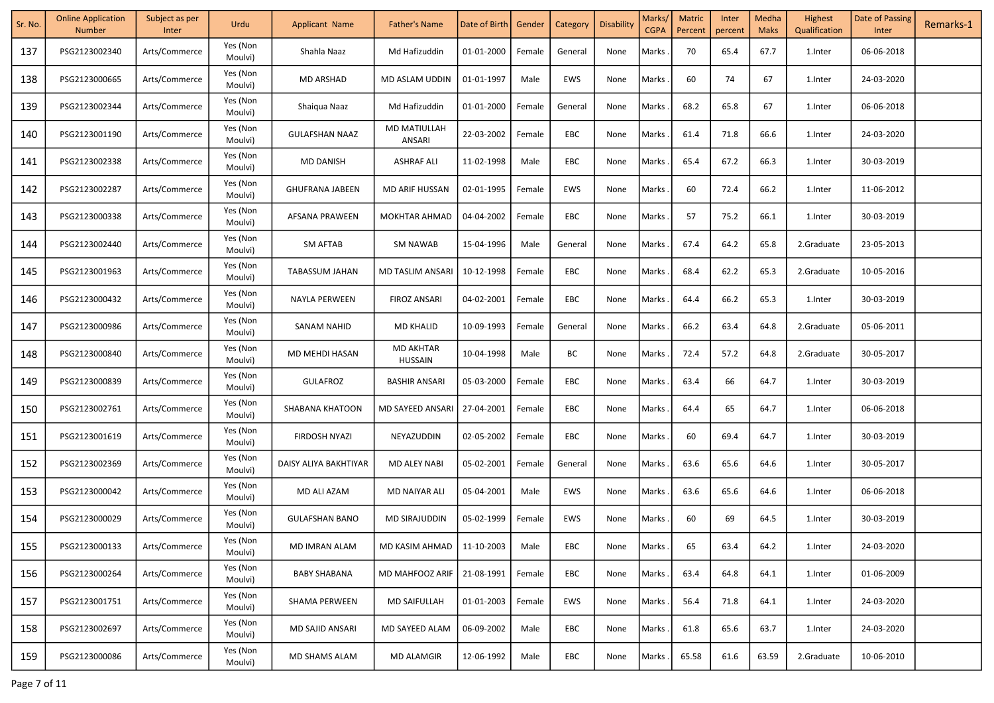| Sr. No. | <b>Online Application</b><br><b>Number</b> | Subject as per<br>Inter | Urdu                | <b>Applicant Name</b>  | Father's Name                      | Date of Birth | Gender | Category   | <b>Disability</b> | Marks/<br><b>CGPA</b> | <b>Matric</b><br>Percent | Inter<br>percent | Medha<br><b>Maks</b> | Highest<br>Qualification | Date of Passing<br>Inter | Remarks-1 |
|---------|--------------------------------------------|-------------------------|---------------------|------------------------|------------------------------------|---------------|--------|------------|-------------------|-----------------------|--------------------------|------------------|----------------------|--------------------------|--------------------------|-----------|
| 137     | PSG2123002340                              | Arts/Commerce           | Yes (Non<br>Moulvi) | Shahla Naaz            | Md Hafizuddin                      | 01-01-2000    | Female | General    | None              | Marks                 | 70                       | 65.4             | 67.7                 | 1.Inter                  | 06-06-2018               |           |
| 138     | PSG2123000665                              | Arts/Commerce           | Yes (Non<br>Moulvi) | <b>MD ARSHAD</b>       | MD ASLAM UDDIN                     | 01-01-1997    | Male   | EWS        | None              | Marks                 | 60                       | 74               | 67                   | 1.Inter                  | 24-03-2020               |           |
| 139     | PSG2123002344                              | Arts/Commerce           | Yes (Non<br>Moulvi) | Shaiqua Naaz           | Md Hafizuddin                      | 01-01-2000    | Female | General    | None              | Marks                 | 68.2                     | 65.8             | 67                   | 1.Inter                  | 06-06-2018               |           |
| 140     | PSG2123001190                              | Arts/Commerce           | Yes (Non<br>Moulvi) | <b>GULAFSHAN NAAZ</b>  | <b>MD MATIULLAH</b><br>ANSARI      | 22-03-2002    | Female | EBC        | None              | Marks                 | 61.4                     | 71.8             | 66.6                 | 1.Inter                  | 24-03-2020               |           |
| 141     | PSG2123002338                              | Arts/Commerce           | Yes (Non<br>Moulvi) | MD DANISH              | <b>ASHRAF ALI</b>                  | 11-02-1998    | Male   | EBC        | None              | Marks                 | 65.4                     | 67.2             | 66.3                 | 1.Inter                  | 30-03-2019               |           |
| 142     | PSG2123002287                              | Arts/Commerce           | Yes (Non<br>Moulvi) | <b>GHUFRANA JABEEN</b> | MD ARIF HUSSAN                     | 02-01-1995    | Female | <b>EWS</b> | None              | Marks                 | 60                       | 72.4             | 66.2                 | 1.Inter                  | 11-06-2012               |           |
| 143     | PSG2123000338                              | Arts/Commerce           | Yes (Non<br>Moulvi) | AFSANA PRAWEEN         | <b>MOKHTAR AHMAD</b>               | 04-04-2002    | Female | EBC        | None              | Marks                 | 57                       | 75.2             | 66.1                 | 1.Inter                  | 30-03-2019               |           |
| 144     | PSG2123002440                              | Arts/Commerce           | Yes (Non<br>Moulvi) | SM AFTAB               | <b>SM NAWAB</b>                    | 15-04-1996    | Male   | General    | None              | Marks                 | 67.4                     | 64.2             | 65.8                 | 2.Graduate               | 23-05-2013               |           |
| 145     | PSG2123001963                              | Arts/Commerce           | Yes (Non<br>Moulvi) | TABASSUM JAHAN         | <b>MD TASLIM ANSARI</b>            | 10-12-1998    | Female | EBC        | None              | Marks                 | 68.4                     | 62.2             | 65.3                 | 2.Graduate               | 10-05-2016               |           |
| 146     | PSG2123000432                              | Arts/Commerce           | Yes (Non<br>Moulvi) | NAYLA PERWEEN          | FIROZ ANSARI                       | 04-02-2001    | Female | EBC        | None              | Marks                 | 64.4                     | 66.2             | 65.3                 | 1.Inter                  | 30-03-2019               |           |
| 147     | PSG2123000986                              | Arts/Commerce           | Yes (Non<br>Moulvi) | <b>SANAM NAHID</b>     | <b>MD KHALID</b>                   | 10-09-1993    | Female | General    | None              | Marks                 | 66.2                     | 63.4             | 64.8                 | 2.Graduate               | 05-06-2011               |           |
| 148     | PSG2123000840                              | Arts/Commerce           | Yes (Non<br>Moulvi) | MD MEHDI HASAN         | <b>MD AKHTAR</b><br><b>HUSSAIN</b> | 10-04-1998    | Male   | ВC         | None              | Marks                 | 72.4                     | 57.2             | 64.8                 | 2.Graduate               | 30-05-2017               |           |
| 149     | PSG2123000839                              | Arts/Commerce           | Yes (Non<br>Moulvi) | <b>GULAFROZ</b>        | <b>BASHIR ANSARI</b>               | 05-03-2000    | Female | EBC        | None              | Marks                 | 63.4                     | 66               | 64.7                 | 1.Inter                  | 30-03-2019               |           |
| 150     | PSG2123002761                              | Arts/Commerce           | Yes (Non<br>Moulvi) | SHABANA KHATOON        | MD SAYEED ANSARI                   | 27-04-2001    | Female | EBC        | None              | Marks                 | 64.4                     | 65               | 64.7                 | 1.Inter                  | 06-06-2018               |           |
| 151     | PSG2123001619                              | Arts/Commerce           | Yes (Non<br>Moulvi) | FIRDOSH NYAZI          | NEYAZUDDIN                         | 02-05-2002    | Female | EBC        | None              | Marks                 | 60                       | 69.4             | 64.7                 | 1.Inter                  | 30-03-2019               |           |
| 152     | PSG2123002369                              | Arts/Commerce           | Yes (Non<br>Moulvi) | DAISY ALIYA BAKHTIYAR  | MD ALEY NABI                       | 05-02-2001    | Female | General    | None              | Marks.                | 63.6                     | 65.6             | 64.6                 | 1.Inter                  | 30-05-2017               |           |
| 153     | PSG2123000042                              | Arts/Commerce           | Yes (Non<br>Moulvi) | MD ALI AZAM            | MD NAIYAR ALI                      | 05-04-2001    | Male   | EWS        | None              | Marks                 | 63.6                     | 65.6             | 64.6                 | 1.Inter                  | 06-06-2018               |           |
| 154     | PSG2123000029                              | Arts/Commerce           | Yes (Non<br>Moulvi) | <b>GULAFSHAN BANO</b>  | MD SIRAJUDDIN                      | 05-02-1999    | Female | EWS        | None              | Marks                 | 60                       | 69               | 64.5                 | 1.Inter                  | 30-03-2019               |           |
| 155     | PSG2123000133                              | Arts/Commerce           | Yes (Non<br>Moulvi) | MD IMRAN ALAM          | MD KASIM AHMAD                     | 11-10-2003    | Male   | EBC        | None              | Marks.                | 65                       | 63.4             | 64.2                 | 1.Inter                  | 24-03-2020               |           |
| 156     | PSG2123000264                              | Arts/Commerce           | Yes (Non<br>Moulvi) | <b>BABY SHABANA</b>    | MD MAHFOOZ ARIF                    | 21-08-1991    | Female | EBC        | None              | Marks                 | 63.4                     | 64.8             | 64.1                 | 1.Inter                  | 01-06-2009               |           |
| 157     | PSG2123001751                              | Arts/Commerce           | Yes (Non<br>Moulvi) | <b>SHAMA PERWEEN</b>   | <b>MD SAIFULLAH</b>                | 01-01-2003    | Female | EWS        | None              | Marks                 | 56.4                     | 71.8             | 64.1                 | 1.Inter                  | 24-03-2020               |           |
| 158     | PSG2123002697                              | Arts/Commerce           | Yes (Non<br>Moulvi) | MD SAJID ANSARI        | MD SAYEED ALAM                     | 06-09-2002    | Male   | EBC        | None              | Marks                 | 61.8                     | 65.6             | 63.7                 | 1.Inter                  | 24-03-2020               |           |
| 159     | PSG2123000086                              | Arts/Commerce           | Yes (Non<br>Moulvi) | MD SHAMS ALAM          | <b>MD ALAMGIR</b>                  | 12-06-1992    | Male   | EBC        | None              | Marks                 | 65.58                    | 61.6             | 63.59                | 2.Graduate               | 10-06-2010               |           |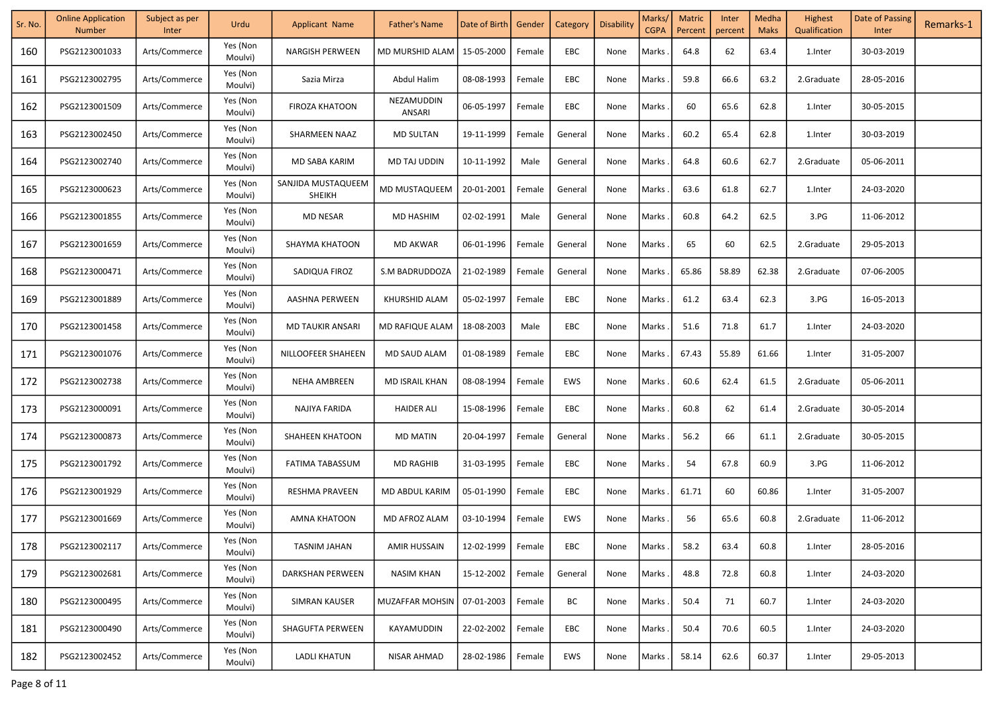| Sr. No. | <b>Online Application</b><br><b>Number</b> | Subject as per<br>Inter | Urdu                | <b>Applicant Name</b>               | Father's Name        | Date of Birth | Gender | Category | <b>Disability</b> | Marks/<br><b>CGPA</b> | <b>Matric</b><br>Percent | Inter<br>percent | Medha<br><b>Maks</b> | Highest<br>Qualification | Date of Passing<br>Inter | Remarks-1 |
|---------|--------------------------------------------|-------------------------|---------------------|-------------------------------------|----------------------|---------------|--------|----------|-------------------|-----------------------|--------------------------|------------------|----------------------|--------------------------|--------------------------|-----------|
| 160     | PSG2123001033                              | Arts/Commerce           | Yes (Non<br>Moulvi) | <b>NARGISH PERWEEN</b>              | MD MURSHID ALAM      | 15-05-2000    | Female | EBC      | None              | Marks                 | 64.8                     | 62               | 63.4                 | 1.Inter                  | 30-03-2019               |           |
| 161     | PSG2123002795                              | Arts/Commerce           | Yes (Non<br>Moulvi) | Sazia Mirza                         | Abdul Halim          | 08-08-1993    | Female | EBC      | None              | Marks                 | 59.8                     | 66.6             | 63.2                 | 2.Graduate               | 28-05-2016               |           |
| 162     | PSG2123001509                              | Arts/Commerce           | Yes (Non<br>Moulvi) | <b>FIROZA KHATOON</b>               | NEZAMUDDIN<br>ANSARI | 06-05-1997    | Female | EBC      | None              | Marks                 | 60                       | 65.6             | 62.8                 | 1.Inter                  | 30-05-2015               |           |
| 163     | PSG2123002450                              | Arts/Commerce           | Yes (Non<br>Moulvi) | SHARMEEN NAAZ                       | <b>MD SULTAN</b>     | 19-11-1999    | Female | General  | None              | Marks                 | 60.2                     | 65.4             | 62.8                 | 1.Inter                  | 30-03-2019               |           |
| 164     | PSG2123002740                              | Arts/Commerce           | Yes (Non<br>Moulvi) | MD SABA KARIM                       | <b>MD TAJ UDDIN</b>  | 10-11-1992    | Male   | General  | None              | Marks                 | 64.8                     | 60.6             | 62.7                 | 2.Graduate               | 05-06-2011               |           |
| 165     | PSG2123000623                              | Arts/Commerce           | Yes (Non<br>Moulvi) | SANJIDA MUSTAQUEEM<br><b>SHEIKH</b> | MD MUSTAQUEEM        | 20-01-2001    | Female | General  | None              | Marks                 | 63.6                     | 61.8             | 62.7                 | 1.Inter                  | 24-03-2020               |           |
| 166     | PSG2123001855                              | Arts/Commerce           | Yes (Non<br>Moulvi) | MD NESAR                            | MD HASHIM            | 02-02-1991    | Male   | General  | None              | Marks                 | 60.8                     | 64.2             | 62.5                 | 3.PG                     | 11-06-2012               |           |
| 167     | PSG2123001659                              | Arts/Commerce           | Yes (Non<br>Moulvi) | <b>SHAYMA KHATOON</b>               | <b>MD AKWAR</b>      | 06-01-1996    | Female | General  | None              | Marks                 | 65                       | 60               | 62.5                 | 2.Graduate               | 29-05-2013               |           |
| 168     | PSG2123000471                              | Arts/Commerce           | Yes (Non<br>Moulvi) | SADIQUA FIROZ                       | S.M BADRUDDOZA       | 21-02-1989    | Female | General  | None              | Marks                 | 65.86                    | 58.89            | 62.38                | 2.Graduate               | 07-06-2005               |           |
| 169     | PSG2123001889                              | Arts/Commerce           | Yes (Non<br>Moulvi) | AASHNA PERWEEN                      | KHURSHID ALAM        | 05-02-1997    | Female | EBC      | None              | Marks                 | 61.2                     | 63.4             | 62.3                 | 3.PG                     | 16-05-2013               |           |
| 170     | PSG2123001458                              | Arts/Commerce           | Yes (Non<br>Moulvi) | <b>MD TAUKIR ANSARI</b>             | MD RAFIQUE ALAM      | 18-08-2003    | Male   | EBC      | None              | Marks                 | 51.6                     | 71.8             | 61.7                 | 1.Inter                  | 24-03-2020               |           |
| 171     | PSG2123001076                              | Arts/Commerce           | Yes (Non<br>Moulvi) | NILLOOFEER SHAHEEN                  | MD SAUD ALAM         | 01-08-1989    | Female | EBC      | None              | Marks                 | 67.43                    | 55.89            | 61.66                | 1.Inter                  | 31-05-2007               |           |
| 172     | PSG2123002738                              | Arts/Commerce           | Yes (Non<br>Moulvi) | <b>NEHA AMBREEN</b>                 | MD ISRAIL KHAN       | 08-08-1994    | Female | EWS      | None              | Marks                 | 60.6                     | 62.4             | 61.5                 | 2.Graduate               | 05-06-2011               |           |
| 173     | PSG2123000091                              | Arts/Commerce           | Yes (Non<br>Moulvi) | NAJIYA FARIDA                       | <b>HAIDER ALI</b>    | 15-08-1996    | Female | EBC      | None              | Marks                 | 60.8                     | 62               | 61.4                 | 2.Graduate               | 30-05-2014               |           |
| 174     | PSG2123000873                              | Arts/Commerce           | Yes (Non<br>Moulvi) | SHAHEEN KHATOON                     | <b>MD MATIN</b>      | 20-04-1997    | Female | General  | None              | Marks                 | 56.2                     | 66               | 61.1                 | 2.Graduate               | 30-05-2015               |           |
| 175     | PSG2123001792                              | Arts/Commerce           | Yes (Non<br>Moulvi) | FATIMA TABASSUM                     | <b>MD RAGHIB</b>     | 31-03-1995    | Female | EBC      | None              | Marks                 | 54                       | 67.8             | 60.9                 | 3.PG                     | 11-06-2012               |           |
| 176     | PSG2123001929                              | Arts/Commerce           | Yes (Non<br>Moulvi) | RESHMA PRAVEEN                      | MD ABDUL KARIM       | 05-01-1990    | Female | EBC      | None              | Marks                 | 61.71                    | 60               | 60.86                | 1.Inter                  | 31-05-2007               |           |
| 177     | PSG2123001669                              | Arts/Commerce           | Yes (Non<br>Moulvi) | AMNA KHATOON                        | MD AFROZ ALAM        | 03-10-1994    | Female | EWS      | None              | Marks                 | 56                       | 65.6             | 60.8                 | 2.Graduate               | 11-06-2012               |           |
| 178     | PSG2123002117                              | Arts/Commerce           | Yes (Non<br>Moulvi) | TASNIM JAHAN                        | AMIR HUSSAIN         | 12-02-1999    | Female | EBC      | None              | Marks.                | 58.2                     | 63.4             | 60.8                 | 1.Inter                  | 28-05-2016               |           |
| 179     | PSG2123002681                              | Arts/Commerce           | Yes (Non<br>Moulvi) | <b>DARKSHAN PERWEEN</b>             | <b>NASIM KHAN</b>    | 15-12-2002    | Female | General  | None              | Marks                 | 48.8                     | 72.8             | 60.8                 | 1.Inter                  | 24-03-2020               |           |
| 180     | PSG2123000495                              | Arts/Commerce           | Yes (Non<br>Moulvi) | <b>SIMRAN KAUSER</b>                | MUZAFFAR MOHSIN      | 07-01-2003    | Female | ВC       | None              | Marks                 | 50.4                     | 71               | 60.7                 | 1.Inter                  | 24-03-2020               |           |
| 181     | PSG2123000490                              | Arts/Commerce           | Yes (Non<br>Moulvi) | SHAGUFTA PERWEEN                    | KAYAMUDDIN           | 22-02-2002    | Female | EBC      | None              | Marks                 | 50.4                     | 70.6             | 60.5                 | 1.Inter                  | 24-03-2020               |           |
| 182     | PSG2123002452                              | Arts/Commerce           | Yes (Non<br>Moulvi) | <b>LADLI KHATUN</b>                 | <b>NISAR AHMAD</b>   | 28-02-1986    | Female | EWS      | None              | Marks                 | 58.14                    | 62.6             | 60.37                | 1.Inter                  | 29-05-2013               |           |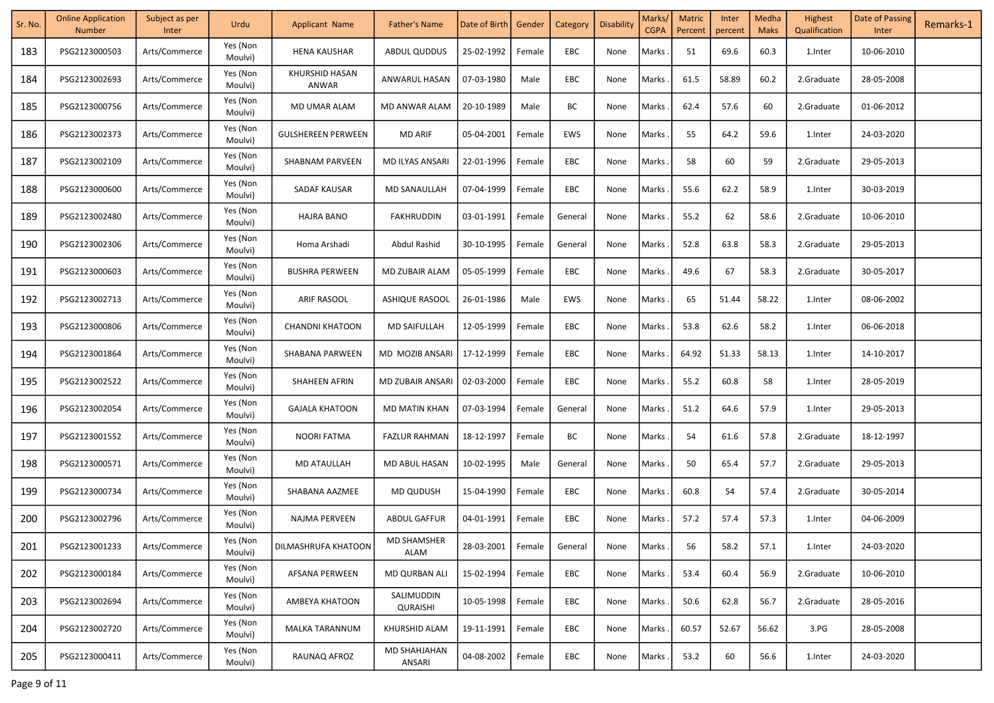| Sr. No. | <b>Online Application</b><br><b>Number</b> | Subject as per<br>Inter | Urdu                | <b>Applicant Name</b>      | <b>Father's Name</b>          | Date of Birth | Gender | Category   | <b>Disability</b> | Marks/<br><b>CGPA</b> | <b>Matric</b><br>Percent | Inter<br>percent | Medha<br><b>Maks</b> | Highest<br>Qualification | Date of Passing<br>Inter | Remarks-1 |
|---------|--------------------------------------------|-------------------------|---------------------|----------------------------|-------------------------------|---------------|--------|------------|-------------------|-----------------------|--------------------------|------------------|----------------------|--------------------------|--------------------------|-----------|
| 183     | PSG2123000503                              | Arts/Commerce           | Yes (Non<br>Moulvi) | <b>HENA KAUSHAR</b>        | <b>ABDUL QUDDUS</b>           | 25-02-1992    | Female | EBC        | None              | Marks                 | 51                       | 69.6             | 60.3                 | 1.Inter                  | 10-06-2010               |           |
| 184     | PSG2123002693                              | Arts/Commerce           | Yes (Non<br>Moulvi) | KHURSHID HASAN<br>ANWAR    | ANWARUL HASAN                 | 07-03-1980    | Male   | EBC        | None              | Marks                 | 61.5                     | 58.89            | 60.2                 | 2.Graduate               | 28-05-2008               |           |
| 185     | PSG2123000756                              | Arts/Commerce           | Yes (Non<br>Moulvi) | MD UMAR ALAM               | MD ANWAR ALAM                 | 20-10-1989    | Male   | ВC         | None              | Marks                 | 62.4                     | 57.6             | 60                   | 2.Graduate               | 01-06-2012               |           |
| 186     | PSG2123002373                              | Arts/Commerce           | Yes (Non<br>Moulvi) | <b>GULSHEREEN PERWEEN</b>  | <b>MD ARIF</b>                | 05-04-2001    | Female | EWS        | None              | Marks                 | 55                       | 64.2             | 59.6                 | 1.Inter                  | 24-03-2020               |           |
| 187     | PSG2123002109                              | Arts/Commerce           | Yes (Non<br>Moulvi) | <b>SHABNAM PARVEEN</b>     | MD ILYAS ANSARI               | 22-01-1996    | Female | EBC        | None              | Marks                 | 58                       | 60               | 59                   | 2.Graduate               | 29-05-2013               |           |
| 188     | PSG2123000600                              | Arts/Commerce           | Yes (Non<br>Moulvi) | SADAF KAUSAR               | MD SANAULLAH                  | 07-04-1999    | Female | EBC        | None              | Marks                 | 55.6                     | 62.2             | 58.9                 | 1.Inter                  | 30-03-2019               |           |
| 189     | PSG2123002480                              | Arts/Commerce           | Yes (Non<br>Moulvi) | <b>HAJRA BANO</b>          | FAKHRUDDIN                    | 03-01-1991    | Female | General    | None              | Marks                 | 55.2                     | 62               | 58.6                 | 2.Graduate               | 10-06-2010               |           |
| 190     | PSG2123002306                              | Arts/Commerce           | Yes (Non<br>Moulvi) | Homa Arshadi               | Abdul Rashid                  | 30-10-1995    | Female | General    | None              | Marks                 | 52.8                     | 63.8             | 58.3                 | 2.Graduate               | 29-05-2013               |           |
| 191     | PSG2123000603                              | Arts/Commerce           | Yes (Non<br>Moulvi) | <b>BUSHRA PERWEEN</b>      | MD ZUBAIR ALAM                | 05-05-1999    | Female | EBC        | None              | Marks                 | 49.6                     | 67               | 58.3                 | 2.Graduate               | 30-05-2017               |           |
| 192     | PSG2123002713                              | Arts/Commerce           | Yes (Non<br>Moulvi) | ARIF RASOOL                | <b>ASHIQUE RASOOL</b>         | 26-01-1986    | Male   | <b>EWS</b> | None              | Marks                 | 65                       | 51.44            | 58.22                | 1.Inter                  | 08-06-2002               |           |
| 193     | PSG2123000806                              | Arts/Commerce           | Yes (Non<br>Moulvi) | <b>CHANDNI KHATOON</b>     | <b>MD SAIFULLAH</b>           | 12-05-1999    | Female | EBC        | None              | Marks                 | 53.8                     | 62.6             | 58.2                 | 1.Inter                  | 06-06-2018               |           |
| 194     | PSG2123001864                              | Arts/Commerce           | Yes (Non<br>Moulvi) | SHABANA PARWEEN            | MD MOZIB ANSARI               | 17-12-1999    | Female | EBC        | None              | Marks                 | 64.92                    | 51.33            | 58.13                | 1.Inter                  | 14-10-2017               |           |
| 195     | PSG2123002522                              | Arts/Commerce           | Yes (Non<br>Moulvi) | SHAHEEN AFRIN              | MD ZUBAIR ANSARI              | 02-03-2000    | Female | EBC        | None              | Marks                 | 55.2                     | 60.8             | 58                   | 1.Inter                  | 28-05-2019               |           |
| 196     | PSG2123002054                              | Arts/Commerce           | Yes (Non<br>Moulvi) | <b>GAJALA KHATOON</b>      | MD MATIN KHAN                 | 07-03-1994    | Female | General    | None              | Marks                 | 51.2                     | 64.6             | 57.9                 | 1.Inter                  | 29-05-2013               |           |
| 197     | PSG2123001552                              | Arts/Commerce           | Yes (Non<br>Moulvi) | NOORI FATMA                | <b>FAZLUR RAHMAN</b>          | 18-12-1997    | Female | ВC         | None              | Marks                 | 54                       | 61.6             | 57.8                 | 2.Graduate               | 18-12-1997               |           |
| 198     | PSG2123000571                              | Arts/Commerce           | Yes (Non<br>Moulvi) | MD ATAULLAH                | MD ABUL HASAN                 | 10-02-1995    | Male   | General    | None              | Marks                 | 50                       | 65.4             | 57.7                 | 2.Graduate               | 29-05-2013               |           |
| 199     | PSG2123000734                              | Arts/Commerce           | Yes (Non<br>Moulvi) | SHABANA AAZMEE             | <b>MD QUDUSH</b>              | 15-04-1990    | Female | EBC        | None              | Marks                 | 60.8                     | 54               | 57.4                 | 2.Graduate               | 30-05-2014               |           |
| 200     | PSG2123002796                              | Arts/Commerce           | Yes (Non<br>Moulvi) | NAJMA PERVEEN              | <b>ABDUL GAFFUR</b>           | 04-01-1991    | Female | EBC        | None              | Marks                 | 57.2                     | 57.4             | 57.3                 | 1.Inter                  | 04-06-2009               |           |
| 201     | PSG2123001233                              | Arts/Commerce           | Yes (Non<br>Moulvi) | <b>DILMASHRUFA KHATOON</b> | <b>MD SHAMSHER</b><br>ALAM    | 28-03-2001    | Female | General    | None              | Marks.                | 56                       | 58.2             | 57.1                 | 1.Inter                  | 24-03-2020               |           |
| 202     | PSG2123000184                              | Arts/Commerce           | Yes (Non<br>Moulvi) | AFSANA PERWEEN             | <b>MD QURBAN ALI</b>          | 15-02-1994    | Female | EBC        | None              | Marks                 | 53.4                     | 60.4             | 56.9                 | 2.Graduate               | 10-06-2010               |           |
| 203     | PSG2123002694                              | Arts/Commerce           | Yes (Non<br>Moulvi) | AMBEYA KHATOON             | SALIMUDDIN<br>QURAISHI        | 10-05-1998    | Female | EBC        | None              | Marks                 | 50.6                     | 62.8             | 56.7                 | 2.Graduate               | 28-05-2016               |           |
| 204     | PSG2123002720                              | Arts/Commerce           | Yes (Non<br>Moulvi) | MALKA TARANNUM             | KHURSHID ALAM                 | 19-11-1991    | Female | EBC        | None              | Marks                 | 60.57                    | 52.67            | 56.62                | 3.PG                     | 28-05-2008               |           |
| 205     | PSG2123000411                              | Arts/Commerce           | Yes (Non<br>Moulvi) | RAUNAQ AFROZ               | <b>MD SHAHJAHAN</b><br>ANSARI | 04-08-2002    | Female | EBC        | None              | Marks                 | 53.2                     | 60               | 56.6                 | 1.Inter                  | 24-03-2020               |           |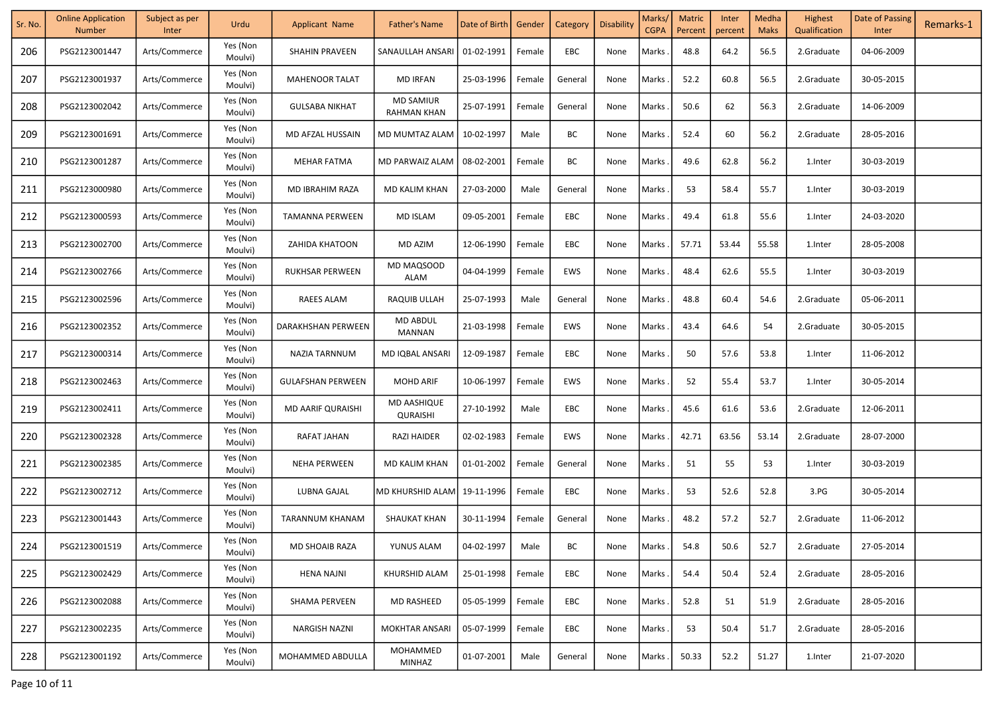| Sr. No. | <b>Online Application</b><br><b>Number</b> | Subject as per<br>Inter | Urdu                | <b>Applicant Name</b>    | Father's Name                          | Date of Birth | Gender | Category   | Disability | Marks/<br><b>CGPA</b> | <b>Matric</b><br>Percent | Inter<br>percent | Medha<br><b>Maks</b> | Highest<br>Qualification | Date of Passing<br>Inter | Remarks-1 |
|---------|--------------------------------------------|-------------------------|---------------------|--------------------------|----------------------------------------|---------------|--------|------------|------------|-----------------------|--------------------------|------------------|----------------------|--------------------------|--------------------------|-----------|
| 206     | PSG2123001447                              | Arts/Commerce           | Yes (Non<br>Moulvi) | SHAHIN PRAVEEN           | SANAULLAH ANSARI                       | 01-02-1991    | Female | EBC        | None       | Marks                 | 48.8                     | 64.2             | 56.5                 | 2.Graduate               | 04-06-2009               |           |
| 207     | PSG2123001937                              | Arts/Commerce           | Yes (Non<br>Moulvi) | <b>MAHENOOR TALAT</b>    | <b>MD IRFAN</b>                        | 25-03-1996    | Female | General    | None       | Marks                 | 52.2                     | 60.8             | 56.5                 | 2.Graduate               | 30-05-2015               |           |
| 208     | PSG2123002042                              | Arts/Commerce           | Yes (Non<br>Moulvi) | <b>GULSABA NIKHAT</b>    | <b>MD SAMIUR</b><br><b>RAHMAN KHAN</b> | 25-07-1991    | Female | General    | None       | Marks                 | 50.6                     | 62               | 56.3                 | 2.Graduate               | 14-06-2009               |           |
| 209     | PSG2123001691                              | Arts/Commerce           | Yes (Non<br>Moulvi) | MD AFZAL HUSSAIN         | MD MUMTAZ ALAM                         | 10-02-1997    | Male   | ВC         | None       | Marks                 | 52.4                     | 60               | 56.2                 | 2.Graduate               | 28-05-2016               |           |
| 210     | PSG2123001287                              | Arts/Commerce           | Yes (Non<br>Moulvi) | <b>MEHAR FATMA</b>       | MD PARWAIZ ALAM                        | 08-02-2001    | Female | ВC         | None       | Marks                 | 49.6                     | 62.8             | 56.2                 | 1.Inter                  | 30-03-2019               |           |
| 211     | PSG2123000980                              | Arts/Commerce           | Yes (Non<br>Moulvi) | MD IBRAHIM RAZA          | MD KALIM KHAN                          | 27-03-2000    | Male   | General    | None       | Marks                 | 53                       | 58.4             | 55.7                 | 1.Inter                  | 30-03-2019               |           |
| 212     | PSG2123000593                              | Arts/Commerce           | Yes (Non<br>Moulvi) | <b>TAMANNA PERWEEN</b>   | <b>MD ISLAM</b>                        | 09-05-2001    | Female | EBC        | None       | Marks                 | 49.4                     | 61.8             | 55.6                 | 1.Inter                  | 24-03-2020               |           |
| 213     | PSG2123002700                              | Arts/Commerce           | Yes (Non<br>Moulvi) | ZAHIDA KHATOON           | MD AZIM                                | 12-06-1990    | Female | EBC        | None       | Marks                 | 57.71                    | 53.44            | 55.58                | 1.Inter                  | 28-05-2008               |           |
| 214     | PSG2123002766                              | Arts/Commerce           | Yes (Non<br>Moulvi) | <b>RUKHSAR PERWEEN</b>   | MD MAQSOOD<br>ALAM                     | 04-04-1999    | Female | EWS        | None       | Marks                 | 48.4                     | 62.6             | 55.5                 | 1.Inter                  | 30-03-2019               |           |
| 215     | PSG2123002596                              | Arts/Commerce           | Yes (Non<br>Moulvi) | RAEES ALAM               | RAQUIB ULLAH                           | 25-07-1993    | Male   | General    | None       | Marks                 | 48.8                     | 60.4             | 54.6                 | 2.Graduate               | 05-06-2011               |           |
| 216     | PSG2123002352                              | Arts/Commerce           | Yes (Non<br>Moulvi) | DARAKHSHAN PERWEEN       | <b>MD ABDUL</b><br>MANNAN              | 21-03-1998    | Female | EWS        | None       | Marks                 | 43.4                     | 64.6             | 54                   | 2.Graduate               | 30-05-2015               |           |
| 217     | PSG2123000314                              | Arts/Commerce           | Yes (Non<br>Moulvi) | NAZIA TARNNUM            | MD IQBAL ANSARI                        | 12-09-1987    | Female | EBC        | None       | Marks                 | 50                       | 57.6             | 53.8                 | 1.Inter                  | 11-06-2012               |           |
| 218     | PSG2123002463                              | Arts/Commerce           | Yes (Non<br>Moulvi) | <b>GULAFSHAN PERWEEN</b> | <b>MOHD ARIF</b>                       | 10-06-1997    | Female | <b>EWS</b> | None       | Marks                 | 52                       | 55.4             | 53.7                 | 1.Inter                  | 30-05-2014               |           |
| 219     | PSG2123002411                              | Arts/Commerce           | Yes (Non<br>Moulvi) | MD AARIF QURAISHI        | MD AASHIQUE<br>QURAISHI                | 27-10-1992    | Male   | EBC        | None       | Marks.                | 45.6                     | 61.6             | 53.6                 | 2.Graduate               | 12-06-2011               |           |
| 220     | PSG2123002328                              | Arts/Commerce           | Yes (Non<br>Moulvi) | RAFAT JAHAN              | <b>RAZI HAIDER</b>                     | 02-02-1983    | Female | <b>EWS</b> | None       | Marks                 | 42.71                    | 63.56            | 53.14                | 2.Graduate               | 28-07-2000               |           |
| 221     | PSG2123002385                              | Arts/Commerce           | Yes (Non<br>Moulvi) | <b>NEHA PERWEEN</b>      | MD KALIM KHAN                          | 01-01-2002    | Female | General    | None       | Marks.                | 51                       | 55               | 53                   | 1.Inter                  | 30-03-2019               |           |
| 222     | PSG2123002712                              | Arts/Commerce           | Yes (Non<br>Moulvi) | LUBNA GAJAL              | MD KHURSHID ALAM                       | 19-11-1996    | Female | EBC        | None       | Marks.                | 53                       | 52.6             | 52.8                 | 3.PG                     | 30-05-2014               |           |
| 223     | PSG2123001443                              | Arts/Commerce           | Yes (Non<br>Moulvi) | TARANNUM KHANAM          | <b>SHAUKAT KHAN</b>                    | 30-11-1994    | Female | General    | None       | Marks                 | 48.2                     | 57.2             | 52.7                 | 2.Graduate               | 11-06-2012               |           |
| 224     | PSG2123001519                              | Arts/Commerce           | Yes (Non<br>Moulvi) | MD SHOAIB RAZA           | YUNUS ALAM                             | 04-02-1997    | Male   | BC         | None       | Marks.                | 54.8                     | 50.6             | 52.7                 | 2.Graduate               | 27-05-2014               |           |
| 225     | PSG2123002429                              | Arts/Commerce           | Yes (Non<br>Moulvi) | HENA NAJNI               | KHURSHID ALAM                          | 25-01-1998    | Female | EBC        | None       | Marks                 | 54.4                     | 50.4             | 52.4                 | 2.Graduate               | 28-05-2016               |           |
| 226     | PSG2123002088                              | Arts/Commerce           | Yes (Non<br>Moulvi) | <b>SHAMA PERVEEN</b>     | <b>MD RASHEED</b>                      | 05-05-1999    | Female | EBC        | None       | Marks                 | 52.8                     | 51               | 51.9                 | 2.Graduate               | 28-05-2016               |           |
| 227     | PSG2123002235                              | Arts/Commerce           | Yes (Non<br>Moulvi) | <b>NARGISH NAZNI</b>     | <b>MOKHTAR ANSARI</b>                  | 05-07-1999    | Female | EBC        | None       | Marks                 | 53                       | 50.4             | 51.7                 | 2.Graduate               | 28-05-2016               |           |
| 228     | PSG2123001192                              | Arts/Commerce           | Yes (Non<br>Moulvi) | MOHAMMED ABDULLA         | MOHAMMED<br>MINHAZ                     | 01-07-2001    | Male   | General    | None       | Marks.                | 50.33                    | 52.2             | 51.27                | 1.Inter                  | 21-07-2020               |           |